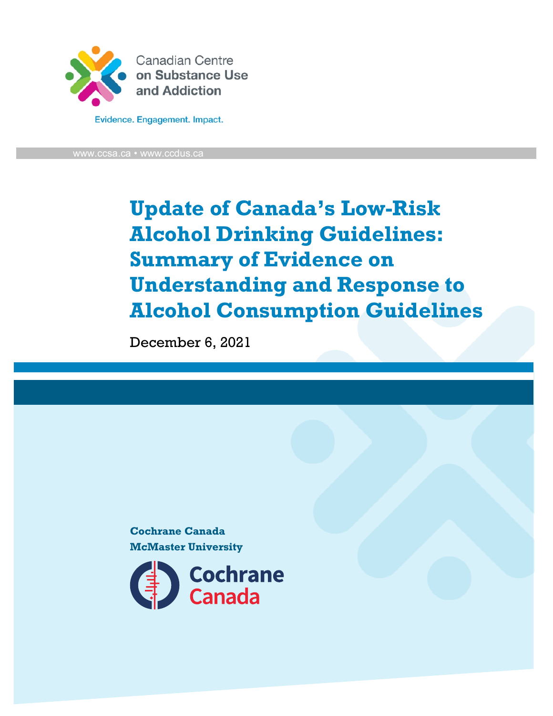

Evidence. Engagement. Impact.

[www.ccsa.ca](http://www.ccsa.ca/) • www.ccdus.ca

**Update of Canada's Low-Risk Alcohol Drinking Guidelines: Summary of Evidence on Understanding and Response to Alcohol Consumption Guidelines**

December 6, 2021

**Cochrane Canada McMaster University**

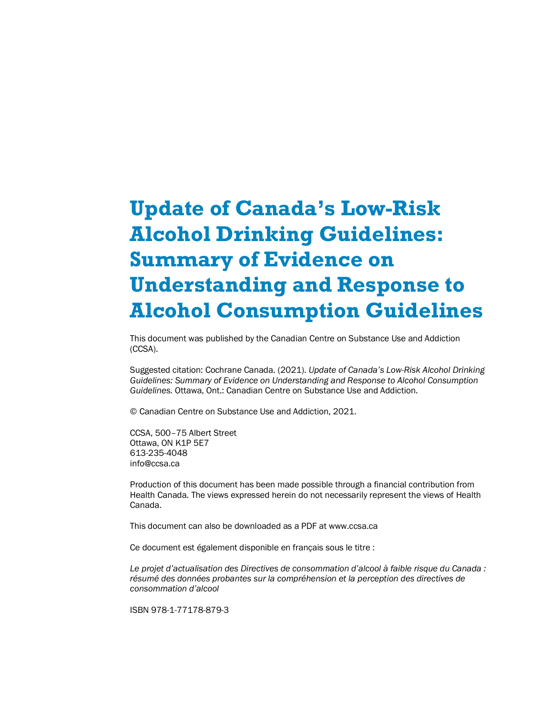# **Update of Canada's Low-Risk Alcohol Drinking Guidelines: Summary of Evidence on Understanding and Response to Alcohol Consumption Guidelines**

This document was published by the Canadian Centre on Substance Use and Addiction (CCSA).

Suggested citation: Cochrane Canada. (2021). *Update of Canada's Low-Risk Alcohol Drinking Guidelines: Summary of Evidence on Understanding and Response to Alcohol Consumption Guidelines.* Ottawa, Ont.: Canadian Centre on Substance Use and Addiction.

© Canadian Centre on Substance Use and Addiction, 2021.

CCSA, 500–75 Albert Street Ottawa, ON K1P 5E7 613-235-4048 info@ccsa.ca

Production of this document has been made possible through a financial contribution from Health Canada. The views expressed herein do not necessarily represent the views of Health Canada.

This document can also be downloaded as a PDF at www.ccsa.ca

Ce document est également disponible en français sous le titre :

*Le projet d'actualisation des Directives de consommation d'alcool à faible risque du Canada : résumé des données probantes sur la compréhension et la perception des directives de consommation d'alcool*

ISBN 978-1-77178-879-3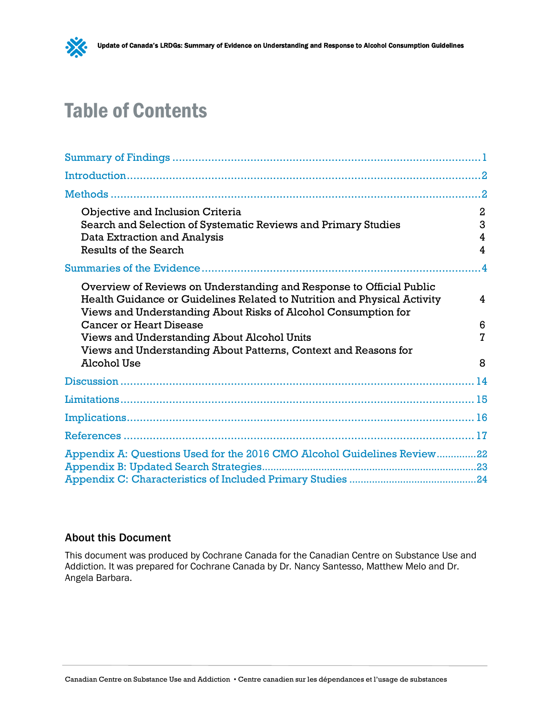

# Table of Contents

| Objective and Inclusion Criteria<br>Search and Selection of Systematic Reviews and Primary Studies<br>Data Extraction and Analysis<br>Results of the Search                                                                                                                                                                                                                                  | $\overline{2}$<br>3<br>4<br>4 |
|----------------------------------------------------------------------------------------------------------------------------------------------------------------------------------------------------------------------------------------------------------------------------------------------------------------------------------------------------------------------------------------------|-------------------------------|
|                                                                                                                                                                                                                                                                                                                                                                                              | $\overline{4}$                |
| Overview of Reviews on Understanding and Response to Official Public<br>Health Guidance or Guidelines Related to Nutrition and Physical Activity<br>Views and Understanding About Risks of Alcohol Consumption for<br><b>Cancer or Heart Disease</b><br>Views and Understanding About Alcohol Units<br>Views and Understanding About Patterns, Context and Reasons for<br><b>Alcohol Use</b> | 4<br>6<br>$\overline{7}$<br>8 |
|                                                                                                                                                                                                                                                                                                                                                                                              |                               |
|                                                                                                                                                                                                                                                                                                                                                                                              |                               |
|                                                                                                                                                                                                                                                                                                                                                                                              |                               |
|                                                                                                                                                                                                                                                                                                                                                                                              |                               |
|                                                                                                                                                                                                                                                                                                                                                                                              |                               |
| Appendix A: Questions Used for the 2016 CMO Alcohol Guidelines Review22                                                                                                                                                                                                                                                                                                                      |                               |

### About this Document

This document was produced by Cochrane Canada for the Canadian Centre on Substance Use and Addiction. It was prepared for Cochrane Canada by Dr. Nancy Santesso, Matthew Melo and Dr. Angela Barbara.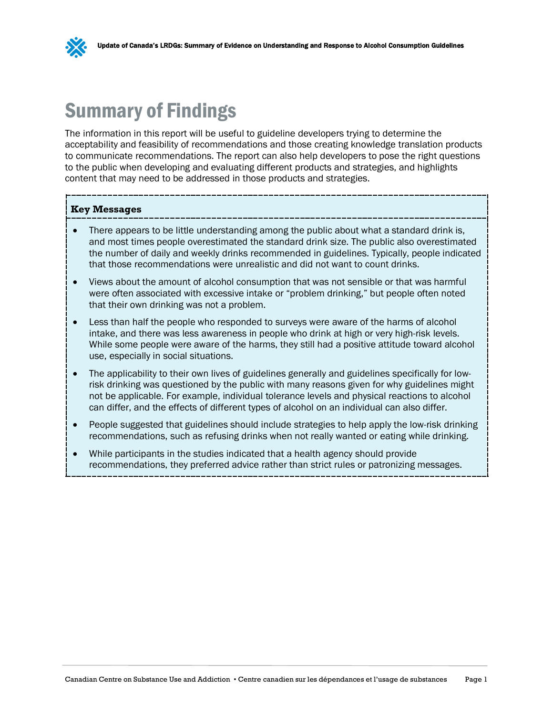

## <span id="page-3-0"></span>Summary of Findings

The information in this report will be useful to guideline developers trying to determine the acceptability and feasibility of recommendations and those creating knowledge translation products to communicate recommendations. The report can also help developers to pose the right questions to the public when developing and evaluating different products and strategies, and highlights content that may need to be addressed in those products and strategies.

#### **Key Messages**

- There appears to be little understanding among the public about what a standard drink is, and most times people overestimated the standard drink size. The public also overestimated the number of daily and weekly drinks recommended in guidelines. Typically, people indicated that those recommendations were unrealistic and did not want to count drinks.
- Views about the amount of alcohol consumption that was not sensible or that was harmful were often associated with excessive intake or "problem drinking," but people often noted that their own drinking was not a problem.
- Less than half the people who responded to surveys were aware of the harms of alcohol intake, and there was less awareness in people who drink at high or very high-risk levels. While some people were aware of the harms, they still had a positive attitude toward alcohol use, especially in social situations.
- The applicability to their own lives of guidelines generally and guidelines specifically for lowrisk drinking was questioned by the public with many reasons given for why guidelines might not be applicable. For example, individual tolerance levels and physical reactions to alcohol can differ, and the effects of different types of alcohol on an individual can also differ.
- People suggested that guidelines should include strategies to help apply the low-risk drinking recommendations, such as refusing drinks when not really wanted or eating while drinking.
- While participants in the studies indicated that a health agency should provide recommendations, they preferred advice rather than strict rules or patronizing messages.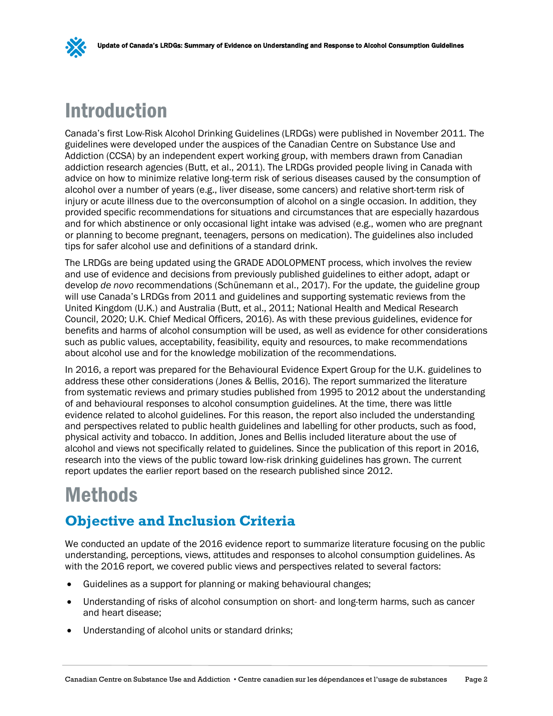

## <span id="page-4-0"></span>Introduction

Canada's first Low-Risk Alcohol Drinking Guidelines (LRDGs) were published in November 2011. The guidelines were developed under the auspices of the Canadian Centre on Substance Use and Addiction (CCSA) by an independent expert working group, with members drawn from Canadian addiction research agencies (Butt, et al., 2011). The LRDGs provided people living in Canada with advice on how to minimize relative long-term risk of serious diseases caused by the consumption of alcohol over a number of years (e.g., liver disease, some cancers) and relative short-term risk of injury or acute illness due to the overconsumption of alcohol on a single occasion. In addition, they provided specific recommendations for situations and circumstances that are especially hazardous and for which abstinence or only occasional light intake was advised (e.g., women who are pregnant or planning to become pregnant, teenagers, persons on medication). The guidelines also included tips for safer alcohol use and definitions of a standard drink.

The LRDGs are being updated using the GRADE ADOLOPMENT process, which involves the review and use of evidence and decisions from previously published guidelines to either adopt, adapt or develop *de novo* recommendations (Schünemann et al., 2017). For the update, the guideline group will use Canada's LRDGs from 2011 and guidelines and supporting systematic reviews from the United Kingdom (U.K.) and Australia (Butt, et al., 2011; National Health and Medical Research Council, 2020; U.K. Chief Medical Officers, 2016). As with these previous guidelines, evidence for benefits and harms of alcohol consumption will be used, as well as evidence for other considerations such as public values, acceptability, feasibility, equity and resources, to make recommendations about alcohol use and for the knowledge mobilization of the recommendations.

In 2016, a report was prepared for the Behavioural Evidence Expert Group for the U.K. guidelines to address these other considerations (Jones & Bellis, 2016). The report summarized the literature from systematic reviews and primary studies published from 1995 to 2012 about the understanding of and behavioural responses to alcohol consumption guidelines. At the time, there was little evidence related to alcohol guidelines. For this reason, the report also included the understanding and perspectives related to public health guidelines and labelling for other products, such as food, physical activity and tobacco. In addition, Jones and Bellis included literature about the use of alcohol and views not specifically related to guidelines. Since the publication of this report in 2016, research into the views of the public toward low-risk drinking guidelines has grown. The current report updates the earlier report based on the research published since 2012.

## <span id="page-4-1"></span>Methods

### <span id="page-4-2"></span>**Objective and Inclusion Criteria**

We conducted an update of the 2016 evidence report to summarize literature focusing on the public understanding, perceptions, views, attitudes and responses to alcohol consumption guidelines. As with the 2016 report, we covered public views and perspectives related to several factors:

- Guidelines as a support for planning or making behavioural changes;
- Understanding of risks of alcohol consumption on short- and long-term harms, such as cancer and heart disease;
- Understanding of alcohol units or standard drinks;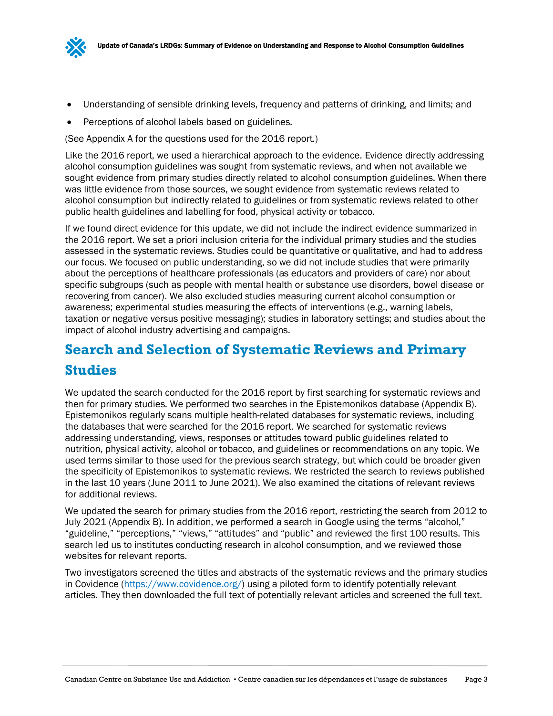

- Understanding of sensible drinking levels, frequency and patterns of drinking, and limits; and
- Perceptions of alcohol labels based on guidelines.

(See Appendix A for the questions used for the 2016 report.)

Like the 2016 report, we used a hierarchical approach to the evidence. Evidence directly addressing alcohol consumption guidelines was sought from systematic reviews, and when not available we sought evidence from primary studies directly related to alcohol consumption guidelines. When there was little evidence from those sources, we sought evidence from systematic reviews related to alcohol consumption but indirectly related to guidelines or from systematic reviews related to other public health guidelines and labelling for food, physical activity or tobacco.

If we found direct evidence for this update, we did not include the indirect evidence summarized in the 2016 report. We set a priori inclusion criteria for the individual primary studies and the studies assessed in the systematic reviews. Studies could be quantitative or qualitative, and had to address our focus. We focused on public understanding, so we did not include studies that were primarily about the perceptions of healthcare professionals (as educators and providers of care) nor about specific subgroups (such as people with mental health or substance use disorders, bowel disease or recovering from cancer). We also excluded studies measuring current alcohol consumption or awareness; experimental studies measuring the effects of interventions (e.g., warning labels, taxation or negative versus positive messaging); studies in laboratory settings; and studies about the impact of alcohol industry advertising and campaigns.

## <span id="page-5-0"></span>**Search and Selection of Systematic Reviews and Primary Studies**

We updated the search conducted for the 2016 report by first searching for systematic reviews and then for primary studies. We performed two searches in the Epistemonikos database (Appendix B). Epistemonikos regularly scans multiple health-related databases for systematic reviews, including the databases that were searched for the 2016 report. We searched for systematic reviews addressing understanding, views, responses or attitudes toward public guidelines related to nutrition, physical activity, alcohol or tobacco, and guidelines or recommendations on any topic. We used terms similar to those used for the previous search strategy, but which could be broader given the specificity of Epistemonikos to systematic reviews. We restricted the search to reviews published in the last 10 years (June 2011 to June 2021). We also examined the citations of relevant reviews for additional reviews.

We updated the search for primary studies from the 2016 report, restricting the search from 2012 to July 2021 (Appendix B). In addition, we performed a search in Google using the terms "alcohol," "guideline," "perceptions," "views," "attitudes" and "public" and reviewed the first 100 results. This search led us to institutes conducting research in alcohol consumption, and we reviewed those websites for relevant reports.

Two investigators screened the titles and abstracts of the systematic reviews and the primary studies in Covidence [\(https://www.covidence.org/\)](https://www.covidence.org/) using a piloted form to identify potentially relevant articles. They then downloaded the full text of potentially relevant articles and screened the full text.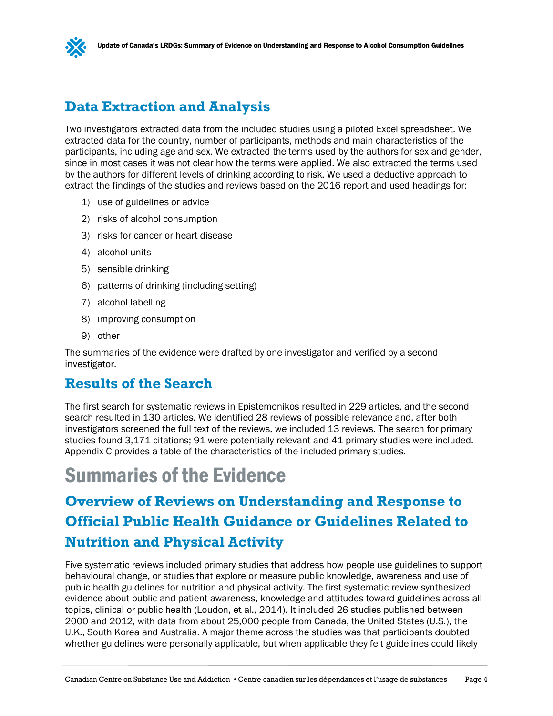

### <span id="page-6-0"></span>**Data Extraction and Analysis**

Two investigators extracted data from the included studies using a piloted Excel spreadsheet. We extracted data for the country, number of participants, methods and main characteristics of the participants, including age and sex. We extracted the terms used by the authors for sex and gender, since in most cases it was not clear how the terms were applied. We also extracted the terms used by the authors for different levels of drinking according to risk. We used a deductive approach to extract the findings of the studies and reviews based on the 2016 report and used headings for:

- 1) use of guidelines or advice
- 2) risks of alcohol consumption
- 3) risks for cancer or heart disease
- 4) alcohol units
- 5) sensible drinking
- 6) patterns of drinking (including setting)
- 7) alcohol labelling
- 8) improving consumption
- 9) other

The summaries of the evidence were drafted by one investigator and verified by a second investigator.

### <span id="page-6-1"></span>**Results of the Search**

The first search for systematic reviews in Epistemonikos resulted in 229 articles, and the second search resulted in 130 articles. We identified 28 reviews of possible relevance and, after both investigators screened the full text of the reviews, we included 13 reviews. The search for primary studies found 3,171 citations; 91 were potentially relevant and 41 primary studies were included. Appendix C provides a table of the characteristics of the included primary studies.

## <span id="page-6-2"></span>Summaries of the Evidence

## <span id="page-6-3"></span>**Overview of Reviews on Understanding and Response to Official Public Health Guidance or Guidelines Related to Nutrition and Physical Activity**

Five systematic reviews included primary studies that address how people use guidelines to support behavioural change, or studies that explore or measure public knowledge, awareness and use of public health guidelines for nutrition and physical activity. The first systematic review synthesized evidence about public and patient awareness, knowledge and attitudes toward guidelines across all topics, clinical or public health (Loudon, et al., 2014). It included 26 studies published between 2000 and 2012, with data from about 25,000 people from Canada, the United States (U.S.), the U.K., South Korea and Australia. A major theme across the studies was that participants doubted whether guidelines were personally applicable, but when applicable they felt guidelines could likely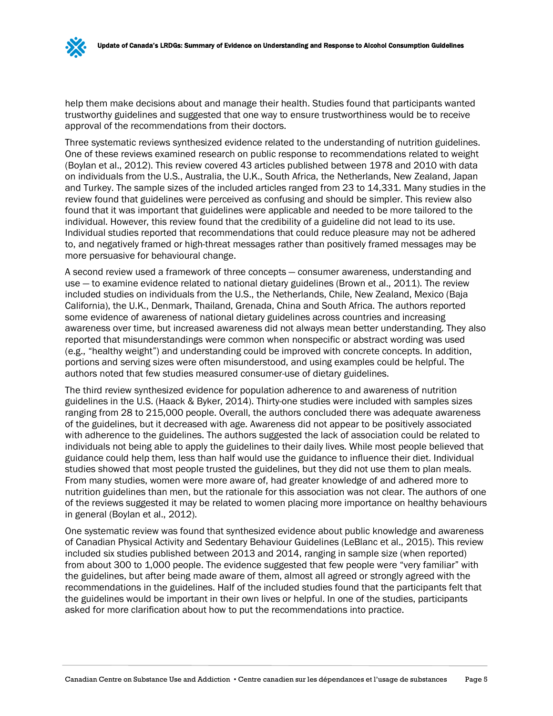help them make decisions about and manage their health. Studies found that participants wanted trustworthy guidelines and suggested that one way to ensure trustworthiness would be to receive approval of the recommendations from their doctors.

Three systematic reviews synthesized evidence related to the understanding of nutrition guidelines. One of these reviews examined research on public response to recommendations related to weight (Boylan et al., 2012). This review covered 43 articles published between 1978 and 2010 with data on individuals from the U.S., Australia, the U.K., South Africa, the Netherlands, New Zealand, Japan and Turkey. The sample sizes of the included articles ranged from 23 to 14,331. Many studies in the review found that guidelines were perceived as confusing and should be simpler. This review also found that it was important that guidelines were applicable and needed to be more tailored to the individual. However, this review found that the credibility of a guideline did not lead to its use. Individual studies reported that recommendations that could reduce pleasure may not be adhered to, and negatively framed or high-threat messages rather than positively framed messages may be more persuasive for behavioural change.

A second review used a framework of three concepts — consumer awareness, understanding and use — to examine evidence related to national dietary guidelines (Brown et al., 2011). The review included studies on individuals from the U.S., the Netherlands, Chile, New Zealand, Mexico (Baja California), the U.K., Denmark, Thailand, Grenada, China and South Africa. The authors reported some evidence of awareness of national dietary guidelines across countries and increasing awareness over time, but increased awareness did not always mean better understanding. They also reported that misunderstandings were common when nonspecific or abstract wording was used (e.g., "healthy weight") and understanding could be improved with concrete concepts. In addition, portions and serving sizes were often misunderstood, and using examples could be helpful. The authors noted that few studies measured consumer-use of dietary guidelines.

The third review synthesized evidence for population adherence to and awareness of nutrition guidelines in the U.S. (Haack & Byker, 2014). Thirty-one studies were included with samples sizes ranging from 28 to 215,000 people. Overall, the authors concluded there was adequate awareness of the guidelines, but it decreased with age. Awareness did not appear to be positively associated with adherence to the guidelines. The authors suggested the lack of association could be related to individuals not being able to apply the guidelines to their daily lives. While most people believed that guidance could help them, less than half would use the guidance to influence their diet. Individual studies showed that most people trusted the guidelines, but they did not use them to plan meals. From many studies, women were more aware of, had greater knowledge of and adhered more to nutrition guidelines than men, but the rationale for this association was not clear. The authors of one of the reviews suggested it may be related to women placing more importance on healthy behaviours in general (Boylan et al., 2012).

One systematic review was found that synthesized evidence about public knowledge and awareness of Canadian Physical Activity and Sedentary Behaviour Guidelines (LeBlanc et al., 2015). This review included six studies published between 2013 and 2014, ranging in sample size (when reported) from about 300 to 1,000 people. The evidence suggested that few people were "very familiar" with the guidelines, but after being made aware of them, almost all agreed or strongly agreed with the recommendations in the guidelines. Half of the included studies found that the participants felt that the guidelines would be important in their own lives or helpful. In one of the studies, participants asked for more clarification about how to put the recommendations into practice.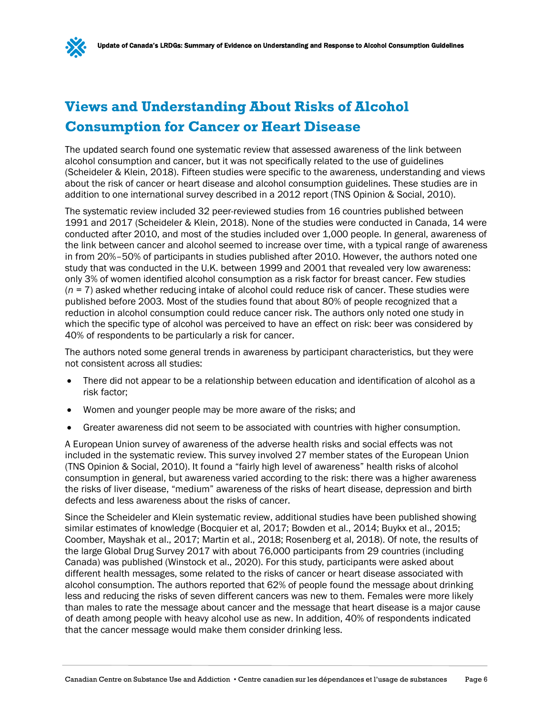## <span id="page-8-0"></span>**Views and Understanding About Risks of Alcohol Consumption for Cancer or Heart Disease**

The updated search found one systematic review that assessed awareness of the link between alcohol consumption and cancer, but it was not specifically related to the use of guidelines (Scheideler & Klein, 2018). Fifteen studies were specific to the awareness, understanding and views about the risk of cancer or heart disease and alcohol consumption guidelines. These studies are in addition to one international survey described in a 2012 report (TNS Opinion & Social, 2010).

The systematic review included 32 peer-reviewed studies from 16 countries published between 1991 and 2017 (Scheideler & Klein, 2018). None of the studies were conducted in Canada, 14 were conducted after 2010, and most of the studies included over 1,000 people. In general, awareness of the link between cancer and alcohol seemed to increase over time, with a typical range of awareness in from 20%–50% of participants in studies published after 2010. However, the authors noted one study that was conducted in the U.K. between 1999 and 2001 that revealed very low awareness: only 3% of women identified alcohol consumption as a risk factor for breast cancer. Few studies (*n* = 7) asked whether reducing intake of alcohol could reduce risk of cancer. These studies were published before 2003. Most of the studies found that about 80% of people recognized that a reduction in alcohol consumption could reduce cancer risk. The authors only noted one study in which the specific type of alcohol was perceived to have an effect on risk: beer was considered by 40% of respondents to be particularly a risk for cancer.

The authors noted some general trends in awareness by participant characteristics, but they were not consistent across all studies:

- There did not appear to be a relationship between education and identification of alcohol as a risk factor;
- Women and younger people may be more aware of the risks; and
- Greater awareness did not seem to be associated with countries with higher consumption.

A European Union survey of awareness of the adverse health risks and social effects was not included in the systematic review. This survey involved 27 member states of the European Union (TNS Opinion & Social, 2010). It found a "fairly high level of awareness" health risks of alcohol consumption in general, but awareness varied according to the risk: there was a higher awareness the risks of liver disease, "medium" awareness of the risks of heart disease, depression and birth defects and less awareness about the risks of cancer.

Since the Scheideler and Klein systematic review, additional studies have been published showing similar estimates of knowledge (Bocquier et al, 2017; Bowden et al., 2014; Buykx et al., 2015; Coomber, Mayshak et al., 2017; Martin et al., 2018; Rosenberg et al, 2018). Of note, the results of the large Global Drug Survey 2017 with about 76,000 participants from 29 countries (including Canada) was published (Winstock et al., 2020). For this study, participants were asked about different health messages, some related to the risks of cancer or heart disease associated with alcohol consumption. The authors reported that 62% of people found the message about drinking less and reducing the risks of seven different cancers was new to them. Females were more likely than males to rate the message about cancer and the message that heart disease is a major cause of death among people with heavy alcohol use as new. In addition, 40% of respondents indicated that the cancer message would make them consider drinking less.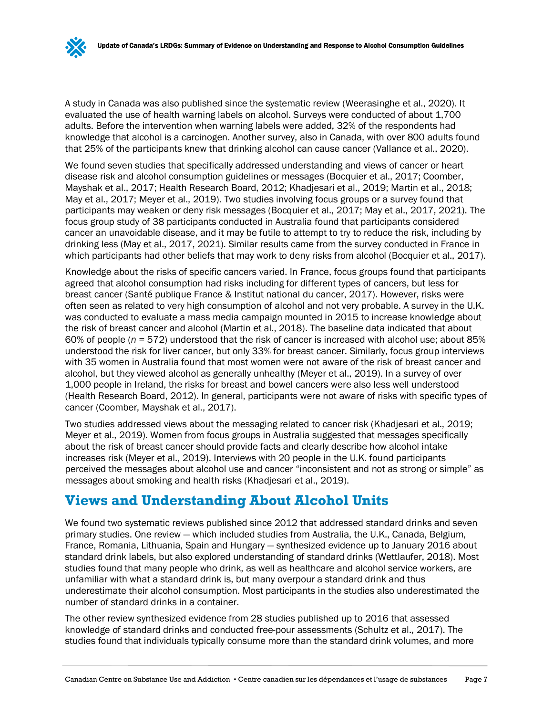A study in Canada was also published since the systematic review (Weerasinghe et al., 2020). It evaluated the use of health warning labels on alcohol. Surveys were conducted of about 1,700 adults. Before the intervention when warning labels were added, 32% of the respondents had knowledge that alcohol is a carcinogen. Another survey, also in Canada, with over 800 adults found that 25% of the participants knew that drinking alcohol can cause cancer (Vallance et al., 2020).

We found seven studies that specifically addressed understanding and views of cancer or heart disease risk and alcohol consumption guidelines or messages (Bocquier et al., 2017; Coomber, Mayshak et al., 2017; Health Research Board, 2012; Khadjesari et al., 2019; Martin et al., 2018; May et al., 2017; Meyer et al., 2019). Two studies involving focus groups or a survey found that participants may weaken or deny risk messages (Bocquier et al., 2017; May et al., 2017, 2021). The focus group study of 38 participants conducted in Australia found that participants considered cancer an unavoidable disease, and it may be futile to attempt to try to reduce the risk, including by drinking less (May et al., 2017, 2021). Similar results came from the survey conducted in France in which participants had other beliefs that may work to deny risks from alcohol (Bocquier et al., 2017).

Knowledge about the risks of specific cancers varied. In France, focus groups found that participants agreed that alcohol consumption had risks including for different types of cancers, but less for breast cancer (Santé publique France & Institut national du cancer, 2017). However, risks were often seen as related to very high consumption of alcohol and not very probable. A survey in the U.K. was conducted to evaluate a mass media campaign mounted in 2015 to increase knowledge about the risk of breast cancer and alcohol (Martin et al., 2018). The baseline data indicated that about 60% of people (*n* = 572) understood that the risk of cancer is increased with alcohol use; about 85% understood the risk for liver cancer, but only 33% for breast cancer. Similarly, focus group interviews with 35 women in Australia found that most women were not aware of the risk of breast cancer and alcohol, but they viewed alcohol as generally unhealthy (Meyer et al., 2019). In a survey of over 1,000 people in Ireland, the risks for breast and bowel cancers were also less well understood (Health Research Board, 2012). In general, participants were not aware of risks with specific types of cancer (Coomber, Mayshak et al., 2017).

Two studies addressed views about the messaging related to cancer risk (Khadjesari et al., 2019; Meyer et al., 2019). Women from focus groups in Australia suggested that messages specifically about the risk of breast cancer should provide facts and clearly describe how alcohol intake increases risk (Meyer et al., 2019). Interviews with 20 people in the U.K. found participants perceived the messages about alcohol use and cancer "inconsistent and not as strong or simple" as messages about smoking and health risks (Khadjesari et al., 2019).

### <span id="page-9-0"></span>**Views and Understanding About Alcohol Units**

We found two systematic reviews published since 2012 that addressed standard drinks and seven primary studies. One review — which included studies from Australia, the U.K., Canada, Belgium, France, Romania, Lithuania, Spain and Hungary — synthesized evidence up to January 2016 about standard drink labels, but also explored understanding of standard drinks (Wettlaufer, 2018). Most studies found that many people who drink, as well as healthcare and alcohol service workers, are unfamiliar with what a standard drink is, but many overpour a standard drink and thus underestimate their alcohol consumption. Most participants in the studies also underestimated the number of standard drinks in a container.

The other review synthesized evidence from 28 studies published up to 2016 that assessed knowledge of standard drinks and conducted free-pour assessments (Schultz et al., 2017). The studies found that individuals typically consume more than the standard drink volumes, and more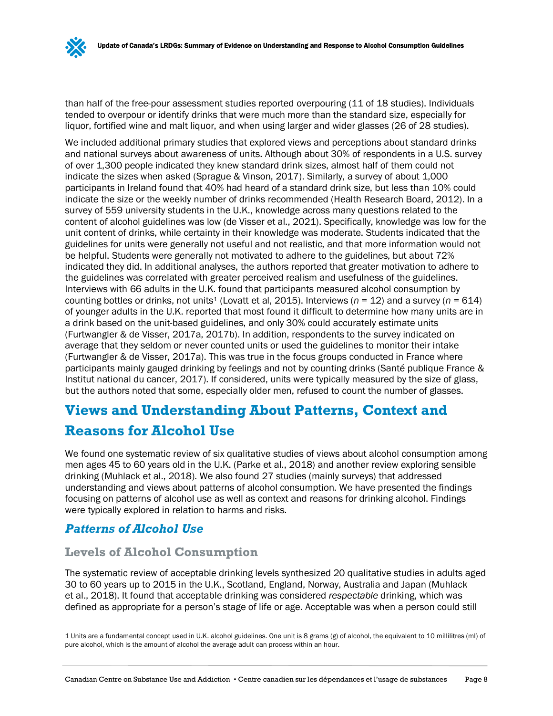than half of the free-pour assessment studies reported overpouring (11 of 18 studies). Individuals tended to overpour or identify drinks that were much more than the standard size, especially for liquor, fortified wine and malt liquor, and when using larger and wider glasses (26 of 28 studies).

We included additional primary studies that explored views and perceptions about standard drinks and national surveys about awareness of units. Although about 30% of respondents in a U.S. survey of over 1,300 people indicated they knew standard drink sizes, almost half of them could not indicate the sizes when asked (Sprague & Vinson, 2017). Similarly, a survey of about 1,000 participants in Ireland found that 40% had heard of a standard drink size, but less than 10% could indicate the size or the weekly number of drinks recommended (Health Research Board, 2012). In a survey of 559 university students in the U.K., knowledge across many questions related to the content of alcohol guidelines was low (de Visser et al., 2021). Specifically, knowledge was low for the unit content of drinks, while certainty in their knowledge was moderate. Students indicated that the guidelines for units were generally not useful and not realistic, and that more information would not be helpful. Students were generally not motivated to adhere to the guidelines, but about 72% indicated they did. In additional analyses, the authors reported that greater motivation to adhere to the guidelines was correlated with greater perceived realism and usefulness of the guidelines. Interviews with 66 adults in the U.K. found that participants measured alcohol consumption by counting bottles or drinks, not units<sup>[1](#page-10-1)</sup> (Lovatt et al, 2015). Interviews ( $n = 12$ ) and a survey ( $n = 614$ ) of younger adults in the U.K. reported that most found it difficult to determine how many units are in a drink based on the unit-based guidelines, and only 30% could accurately estimate units (Furtwangler & de Visser, 2017a, 2017b). In addition, respondents to the survey indicated on average that they seldom or never counted units or used the guidelines to monitor their intake (Furtwangler & de Visser, 2017a). This was true in the focus groups conducted in France where participants mainly gauged drinking by feelings and not by counting drinks (Santé publique France & Institut national du cancer, 2017). If considered, units were typically measured by the size of glass, but the authors noted that some, especially older men, refused to count the number of glasses.

### <span id="page-10-0"></span>**Views and Understanding About Patterns, Context and**

### **Reasons for Alcohol Use**

We found one systematic review of six qualitative studies of views about alcohol consumption among men ages 45 to 60 years old in the U.K. (Parke et al., 2018) and another review exploring sensible drinking (Muhlack et al., 2018). We also found 27 studies (mainly surveys) that addressed understanding and views about patterns of alcohol consumption. We have presented the findings focusing on patterns of alcohol use as well as context and reasons for drinking alcohol. Findings were typically explored in relation to harms and risks.

### *Patterns of Alcohol Use*

### **Levels of Alcohol Consumption**

The systematic review of acceptable drinking levels synthesized 20 qualitative studies in adults aged 30 to 60 years up to 2015 in the U.K., Scotland, England, Norway, Australia and Japan (Muhlack et al., 2018). It found that acceptable drinking was considered *respectable* drinking, which was defined as appropriate for a person's stage of life or age. Acceptable was when a person could still

<span id="page-10-1"></span><sup>1</sup> Units are a fundamental concept used in U.K. alcohol guidelines. One unit is 8 grams (g) of alcohol, the equivalent to 10 millilitres (ml) of pure alcohol, which is the amount of alcohol the average adult can process within an hour.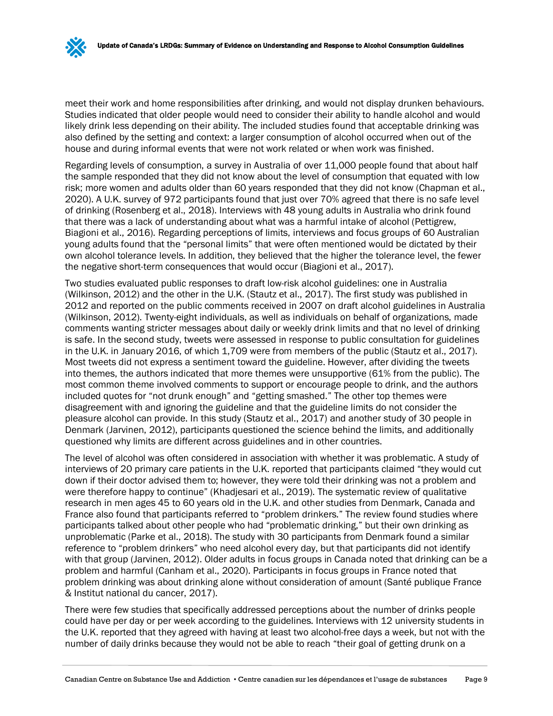meet their work and home responsibilities after drinking, and would not display drunken behaviours. Studies indicated that older people would need to consider their ability to handle alcohol and would likely drink less depending on their ability. The included studies found that acceptable drinking was also defined by the setting and context: a larger consumption of alcohol occurred when out of the house and during informal events that were not work related or when work was finished.

Regarding levels of consumption, a survey in Australia of over 11,000 people found that about half the sample responded that they did not know about the level of consumption that equated with low risk; more women and adults older than 60 years responded that they did not know (Chapman et al., 2020). A U.K. survey of 972 participants found that just over 70% agreed that there is no safe level of drinking (Rosenberg et al., 2018). Interviews with 48 young adults in Australia who drink found that there was a lack of understanding about what was a harmful intake of alcohol (Pettigrew, Biagioni et al., 2016). Regarding perceptions of limits, interviews and focus groups of 60 Australian young adults found that the "personal limits" that were often mentioned would be dictated by their own alcohol tolerance levels. In addition, they believed that the higher the tolerance level, the fewer the negative short-term consequences that would occur (Biagioni et al., 2017).

Two studies evaluated public responses to draft low-risk alcohol guidelines: one in Australia (Wilkinson, 2012) and the other in the U.K. (Stautz et al., 2017). The first study was published in 2012 and reported on the public comments received in 2007 on draft alcohol guidelines in Australia (Wilkinson, 2012). Twenty-eight individuals, as well as individuals on behalf of organizations, made comments wanting stricter messages about daily or weekly drink limits and that no level of drinking is safe. In the second study, tweets were assessed in response to public consultation for guidelines in the U.K. in January 2016, of which 1,709 were from members of the public (Stautz et al., 2017). Most tweets did not express a sentiment toward the guideline. However, after dividing the tweets into themes, the authors indicated that more themes were unsupportive (61% from the public). The most common theme involved comments to support or encourage people to drink, and the authors included quotes for "not drunk enough" and "getting smashed." The other top themes were disagreement with and ignoring the guideline and that the guideline limits do not consider the pleasure alcohol can provide. In this study (Stautz et al., 2017) and another study of 30 people in Denmark (Jarvinen, 2012), participants questioned the science behind the limits, and additionally questioned why limits are different across guidelines and in other countries.

The level of alcohol was often considered in association with whether it was problematic. A study of interviews of 20 primary care patients in the U.K. reported that participants claimed "they would cut down if their doctor advised them to; however, they were told their drinking was not a problem and were therefore happy to continue" (Khadjesari et al., 2019). The systematic review of qualitative research in men ages 45 to 60 years old in the U.K. and other studies from Denmark, Canada and France also found that participants referred to "problem drinkers." The review found studies where participants talked about other people who had "problematic drinking," but their own drinking as unproblematic (Parke et al., 2018). The study with 30 participants from Denmark found a similar reference to "problem drinkers" who need alcohol every day, but that participants did not identify with that group (Jarvinen, 2012). Older adults in focus groups in Canada noted that drinking can be a problem and harmful (Canham et al., 2020). Participants in focus groups in France noted that problem drinking was about drinking alone without consideration of amount (Santé publique France & Institut national du cancer, 2017).

There were few studies that specifically addressed perceptions about the number of drinks people could have per day or per week according to the guidelines. Interviews with 12 university students in the U.K. reported that they agreed with having at least two alcohol-free days a week, but not with the number of daily drinks because they would not be able to reach "their goal of getting drunk on a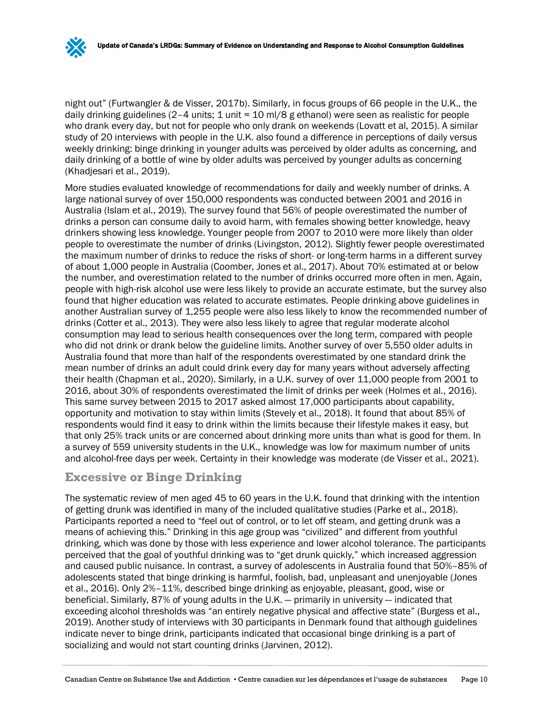night out" (Furtwangler & de Visser, 2017b). Similarly, in focus groups of 66 people in the U.K., the daily drinking guidelines (2-4 units; 1 unit = 10 ml/8 g ethanol) were seen as realistic for people who drank every day, but not for people who only drank on weekends (Lovatt et al, 2015). A similar study of 20 interviews with people in the U.K. also found a difference in perceptions of daily versus weekly drinking: binge drinking in younger adults was perceived by older adults as concerning, and daily drinking of a bottle of wine by older adults was perceived by younger adults as concerning (Khadjesari et al., 2019).

More studies evaluated knowledge of recommendations for daily and weekly number of drinks. A large national survey of over 150,000 respondents was conducted between 2001 and 2016 in Australia (Islam et al., 2019). The survey found that 56% of people overestimated the number of drinks a person can consume daily to avoid harm, with females showing better knowledge, heavy drinkers showing less knowledge. Younger people from 2007 to 2010 were more likely than older people to overestimate the number of drinks (Livingston, 2012). Slightly fewer people overestimated the maximum number of drinks to reduce the risks of short- or long-term harms in a different survey of about 1,000 people in Australia (Coomber, Jones et al., 2017). About 70% estimated at or below the number, and overestimation related to the number of drinks occurred more often in men. Again, people with high-risk alcohol use were less likely to provide an accurate estimate, but the survey also found that higher education was related to accurate estimates. People drinking above guidelines in another Australian survey of 1,255 people were also less likely to know the recommended number of drinks (Cotter et al., 2013). They were also less likely to agree that regular moderate alcohol consumption may lead to serious health consequences over the long term, compared with people who did not drink or drank below the guideline limits. Another survey of over 5,550 older adults in Australia found that more than half of the respondents overestimated by one standard drink the mean number of drinks an adult could drink every day for many years without adversely affecting their health (Chapman et al., 2020). Similarly, in a U.K. survey of over 11,000 people from 2001 to 2016, about 30% of respondents overestimated the limit of drinks per week (Holmes et al., 2016). This same survey between 2015 to 2017 asked almost 17,000 participants about capability, opportunity and motivation to stay within limits (Stevely et al., 2018). It found that about 85% of respondents would find it easy to drink within the limits because their lifestyle makes it easy, but that only 25% track units or are concerned about drinking more units than what is good for them. In a survey of 559 university students in the U.K., knowledge was low for maximum number of units and alcohol-free days per week. Certainty in their knowledge was moderate (de Visser et al., 2021).

### **Excessive or Binge Drinking**

The systematic review of men aged 45 to 60 years in the U.K. found that drinking with the intention of getting drunk was identified in many of the included qualitative studies (Parke et al., 2018). Participants reported a need to "feel out of control, or to let off steam, and getting drunk was a means of achieving this." Drinking in this age group was "civilized" and different from youthful drinking, which was done by those with less experience and lower alcohol tolerance. The participants perceived that the goal of youthful drinking was to "get drunk quickly," which increased aggression and caused public nuisance. In contrast, a survey of adolescents in Australia found that 50%–85% of adolescents stated that binge drinking is harmful, foolish, bad, unpleasant and unenjoyable (Jones et al., 2016). Only 2%–11%, described binge drinking as enjoyable, pleasant, good, wise or beneficial. Similarly, 87% of young adults in the U.K. — primarily in university — indicated that exceeding alcohol thresholds was "an entirely negative physical and affective state" (Burgess et al., 2019). Another study of interviews with 30 participants in Denmark found that although guidelines indicate never to binge drink, participants indicated that occasional binge drinking is a part of socializing and would not start counting drinks (Jarvinen, 2012).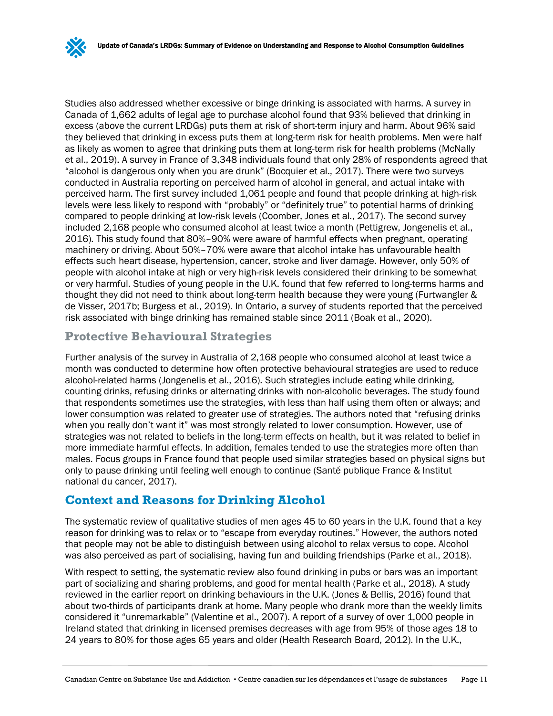Studies also addressed whether excessive or binge drinking is associated with harms. A survey in Canada of 1,662 adults of legal age to purchase alcohol found that 93% believed that drinking in excess (above the current LRDGs) puts them at risk of short-term injury and harm. About 96% said they believed that drinking in excess puts them at long-term risk for health problems. Men were half as likely as women to agree that drinking puts them at long-term risk for health problems (McNally et al., 2019). A survey in France of 3,348 individuals found that only 28% of respondents agreed that "alcohol is dangerous only when you are drunk" (Bocquier et al., 2017). There were two surveys conducted in Australia reporting on perceived harm of alcohol in general, and actual intake with perceived harm. The first survey included 1,061 people and found that people drinking at high-risk levels were less likely to respond with "probably" or "definitely true" to potential harms of drinking compared to people drinking at low-risk levels (Coomber, Jones et al., 2017). The second survey included 2,168 people who consumed alcohol at least twice a month (Pettigrew, Jongenelis et al., 2016). This study found that 80%–90% were aware of harmful effects when pregnant, operating machinery or driving. About 50%–70% were aware that alcohol intake has unfavourable health effects such heart disease, hypertension, cancer, stroke and liver damage. However, only 50% of people with alcohol intake at high or very high-risk levels considered their drinking to be somewhat or very harmful. Studies of young people in the U.K. found that few referred to long-terms harms and thought they did not need to think about long-term health because they were young (Furtwangler & de Visser, 2017b; Burgess et al., 2019). In Ontario, a survey of students reported that the perceived risk associated with binge drinking has remained stable since 2011 (Boak et al., 2020).

### **Protective Behavioural Strategies**

Further analysis of the survey in Australia of 2,168 people who consumed alcohol at least twice a month was conducted to determine how often protective behavioural strategies are used to reduce alcohol-related harms (Jongenelis et al., 2016). Such strategies include eating while drinking, counting drinks, refusing drinks or alternating drinks with non-alcoholic beverages. The study found that respondents sometimes use the strategies, with less than half using them often or always; and lower consumption was related to greater use of strategies. The authors noted that "refusing drinks when you really don't want it" was most strongly related to lower consumption. However, use of strategies was not related to beliefs in the long-term effects on health, but it was related to belief in more immediate harmful effects. In addition, females tended to use the strategies more often than males. Focus groups in France found that people used similar strategies based on physical signs but only to pause drinking until feeling well enough to continue (Santé publique France & Institut national du cancer, 2017).

### **Context and Reasons for Drinking Alcohol**

The systematic review of qualitative studies of men ages 45 to 60 years in the U.K. found that a key reason for drinking was to relax or to "escape from everyday routines." However, the authors noted that people may not be able to distinguish between using alcohol to relax versus to cope. Alcohol was also perceived as part of socialising, having fun and building friendships (Parke et al., 2018).

With respect to setting, the systematic review also found drinking in pubs or bars was an important part of socializing and sharing problems, and good for mental health (Parke et al., 2018). A study reviewed in the earlier report on drinking behaviours in the U.K. (Jones & Bellis, 2016) found that about two-thirds of participants drank at home. Many people who drank more than the weekly limits considered it "unremarkable" (Valentine et al., 2007). A report of a survey of over 1,000 people in Ireland stated that drinking in licensed premises decreases with age from 95% of those ages 18 to 24 years to 80% for those ages 65 years and older (Health Research Board, 2012). In the U.K.,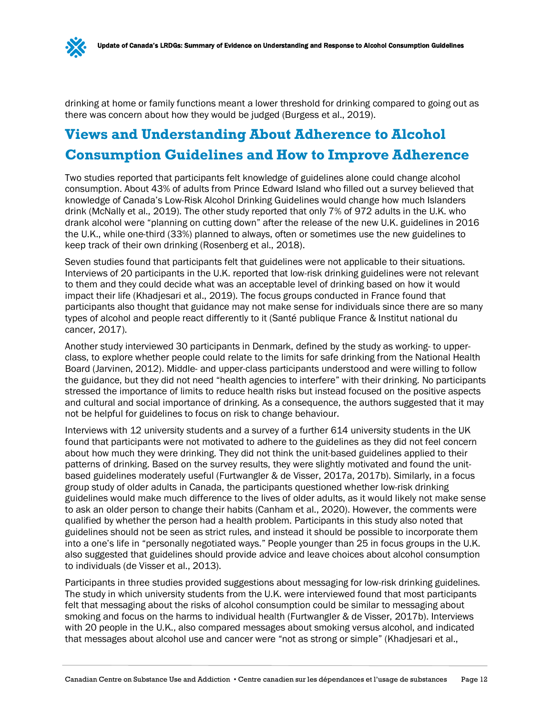drinking at home or family functions meant a lower threshold for drinking compared to going out as there was concern about how they would be judged (Burgess et al., 2019).

### **Views and Understanding About Adherence to Alcohol Consumption Guidelines and How to Improve Adherence**

Two studies reported that participants felt knowledge of guidelines alone could change alcohol consumption. About 43% of adults from Prince Edward Island who filled out a survey believed that knowledge of Canada's Low-Risk Alcohol Drinking Guidelines would change how much Islanders drink (McNally et al., 2019). The other study reported that only 7% of 972 adults in the U.K. who drank alcohol were "planning on cutting down" after the release of the new U.K. guidelines in 2016 the U.K., while one-third (33%) planned to always, often or sometimes use the new guidelines to keep track of their own drinking (Rosenberg et al., 2018).

Seven studies found that participants felt that guidelines were not applicable to their situations. Interviews of 20 participants in the U.K. reported that low-risk drinking guidelines were not relevant to them and they could decide what was an acceptable level of drinking based on how it would impact their life (Khadjesari et al., 2019). The focus groups conducted in France found that participants also thought that guidance may not make sense for individuals since there are so many types of alcohol and people react differently to it (Santé publique France & Institut national du cancer, 2017).

Another study interviewed 30 participants in Denmark, defined by the study as working- to upperclass, to explore whether people could relate to the limits for safe drinking from the National Health Board (Jarvinen, 2012). Middle- and upper-class participants understood and were willing to follow the guidance, but they did not need "health agencies to interfere" with their drinking. No participants stressed the importance of limits to reduce health risks but instead focused on the positive aspects and cultural and social importance of drinking. As a consequence, the authors suggested that it may not be helpful for guidelines to focus on risk to change behaviour.

Interviews with 12 university students and a survey of a further 614 university students in the UK found that participants were not motivated to adhere to the guidelines as they did not feel concern about how much they were drinking. They did not think the unit-based guidelines applied to their patterns of drinking. Based on the survey results, they were slightly motivated and found the unitbased guidelines moderately useful (Furtwangler & de Visser, 2017a, 2017b). Similarly, in a focus group study of older adults in Canada, the participants questioned whether low-risk drinking guidelines would make much difference to the lives of older adults, as it would likely not make sense to ask an older person to change their habits (Canham et al., 2020). However, the comments were qualified by whether the person had a health problem. Participants in this study also noted that guidelines should not be seen as strict rules, and instead it should be possible to incorporate them into a one's life in "personally negotiated ways." People younger than 25 in focus groups in the U.K. also suggested that guidelines should provide advice and leave choices about alcohol consumption to individuals (de Visser et al., 2013).

Participants in three studies provided suggestions about messaging for low-risk drinking guidelines. The study in which university students from the U.K. were interviewed found that most participants felt that messaging about the risks of alcohol consumption could be similar to messaging about smoking and focus on the harms to individual health (Furtwangler & de Visser, 2017b). Interviews with 20 people in the U.K., also compared messages about smoking versus alcohol, and indicated that messages about alcohol use and cancer were "not as strong or simple" (Khadjesari et al.,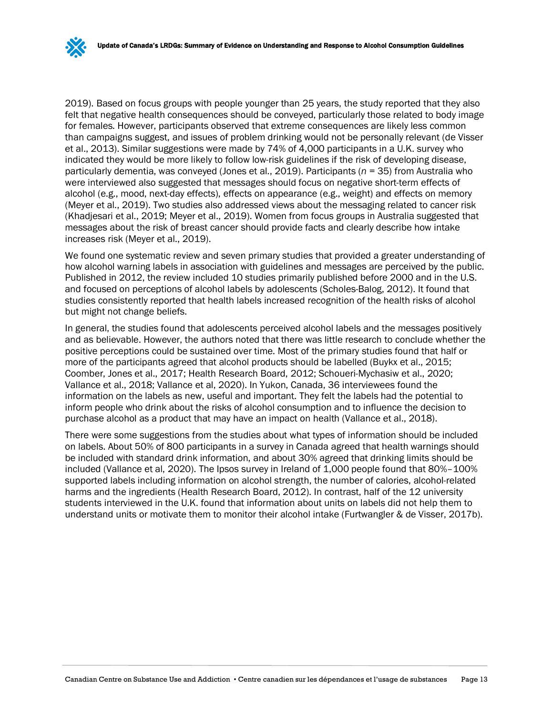2019). Based on focus groups with people younger than 25 years, the study reported that they also felt that negative health consequences should be conveyed, particularly those related to body image for females. However, participants observed that extreme consequences are likely less common than campaigns suggest, and issues of problem drinking would not be personally relevant (de Visser et al., 2013). Similar suggestions were made by 74% of 4,000 participants in a U.K. survey who indicated they would be more likely to follow low-risk guidelines if the risk of developing disease, particularly dementia, was conveyed (Jones et al., 2019). Participants (*n* = 35) from Australia who were interviewed also suggested that messages should focus on negative short-term effects of alcohol (e.g., mood, next-day effects), effects on appearance (e.g., weight) and effects on memory (Meyer et al., 2019). Two studies also addressed views about the messaging related to cancer risk (Khadjesari et al., 2019; Meyer et al., 2019). Women from focus groups in Australia suggested that messages about the risk of breast cancer should provide facts and clearly describe how intake increases risk (Meyer et al., 2019).

We found one systematic review and seven primary studies that provided a greater understanding of how alcohol warning labels in association with guidelines and messages are perceived by the public. Published in 2012, the review included 10 studies primarily published before 2000 and in the U.S. and focused on perceptions of alcohol labels by adolescents (Scholes-Balog, 2012). It found that studies consistently reported that health labels increased recognition of the health risks of alcohol but might not change beliefs.

In general, the studies found that adolescents perceived alcohol labels and the messages positively and as believable. However, the authors noted that there was little research to conclude whether the positive perceptions could be sustained over time. Most of the primary studies found that half or more of the participants agreed that alcohol products should be labelled (Buykx et al., 2015; Coomber, Jones et al., 2017; Health Research Board, 2012; Schoueri-Mychasiw et al., 2020; Vallance et al., 2018; Vallance et al, 2020). In Yukon, Canada, 36 interviewees found the information on the labels as new, useful and important. They felt the labels had the potential to inform people who drink about the risks of alcohol consumption and to influence the decision to purchase alcohol as a product that may have an impact on health (Vallance et al., 2018).

There were some suggestions from the studies about what types of information should be included on labels. About 50% of 800 participants in a survey in Canada agreed that health warnings should be included with standard drink information, and about 30% agreed that drinking limits should be included (Vallance et al, 2020). The Ipsos survey in Ireland of 1,000 people found that 80%–100% supported labels including information on alcohol strength, the number of calories, alcohol-related harms and the ingredients (Health Research Board, 2012). In contrast, half of the 12 university students interviewed in the U.K. found that information about units on labels did not help them to understand units or motivate them to monitor their alcohol intake (Furtwangler & de Visser, 2017b).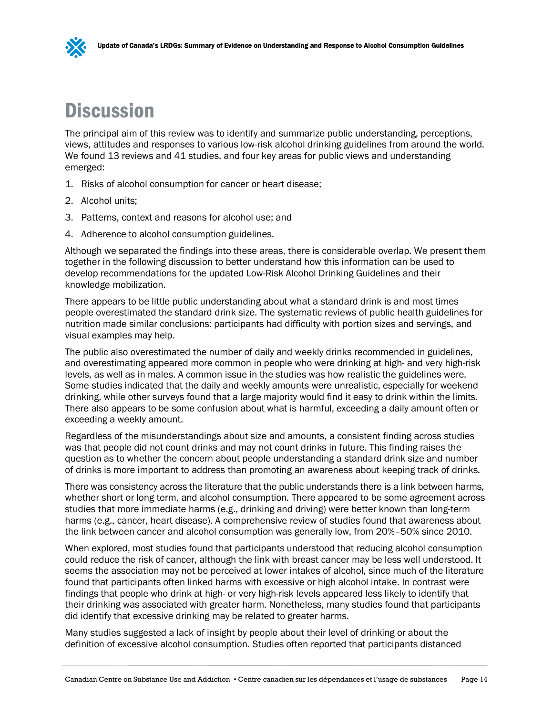

## <span id="page-16-0"></span>**Discussion**

The principal aim of this review was to identify and summarize public understanding, perceptions, views, attitudes and responses to various low-risk alcohol drinking guidelines from around the world. We found 13 reviews and 41 studies, and four key areas for public views and understanding emerged:

- 1. Risks of alcohol consumption for cancer or heart disease;
- 2. Alcohol units;
- 3. Patterns, context and reasons for alcohol use; and
- 4. Adherence to alcohol consumption guidelines.

Although we separated the findings into these areas, there is considerable overlap. We present them together in the following discussion to better understand how this information can be used to develop recommendations for the updated Low-Risk Alcohol Drinking Guidelines and their knowledge mobilization.

There appears to be little public understanding about what a standard drink is and most times people overestimated the standard drink size. The systematic reviews of public health guidelines for nutrition made similar conclusions: participants had difficulty with portion sizes and servings, and visual examples may help.

The public also overestimated the number of daily and weekly drinks recommended in guidelines, and overestimating appeared more common in people who were drinking at high- and very high-risk levels, as well as in males. A common issue in the studies was how realistic the guidelines were. Some studies indicated that the daily and weekly amounts were unrealistic, especially for weekend drinking, while other surveys found that a large majority would find it easy to drink within the limits. There also appears to be some confusion about what is harmful, exceeding a daily amount often or exceeding a weekly amount.

Regardless of the misunderstandings about size and amounts, a consistent finding across studies was that people did not count drinks and may not count drinks in future. This finding raises the question as to whether the concern about people understanding a standard drink size and number of drinks is more important to address than promoting an awareness about keeping track of drinks.

There was consistency across the literature that the public understands there is a link between harms, whether short or long term, and alcohol consumption. There appeared to be some agreement across studies that more immediate harms (e.g., drinking and driving) were better known than long-term harms (e.g., cancer, heart disease). A comprehensive review of studies found that awareness about the link between cancer and alcohol consumption was generally low, from 20%–50% since 2010.

When explored, most studies found that participants understood that reducing alcohol consumption could reduce the risk of cancer, although the link with breast cancer may be less well understood. It seems the association may not be perceived at lower intakes of alcohol, since much of the literature found that participants often linked harms with excessive or high alcohol intake. In contrast were findings that people who drink at high- or very high-risk levels appeared less likely to identify that their drinking was associated with greater harm. Nonetheless, many studies found that participants did identify that excessive drinking may be related to greater harms.

Many studies suggested a lack of insight by people about their level of drinking or about the definition of excessive alcohol consumption. Studies often reported that participants distanced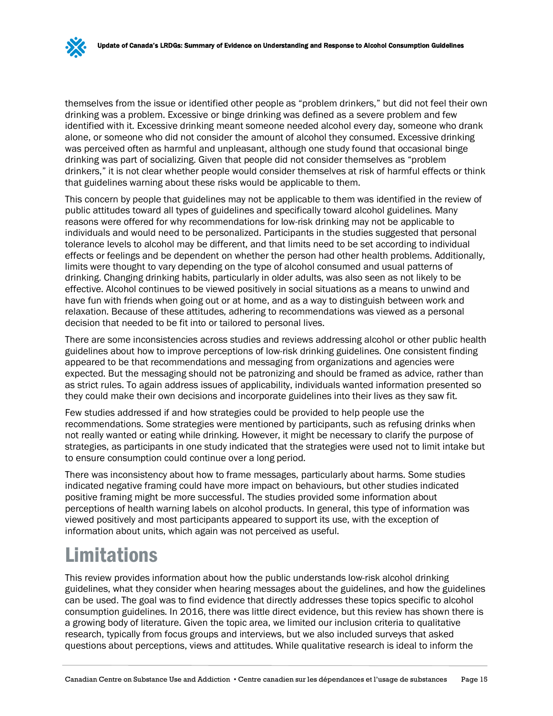themselves from the issue or identified other people as "problem drinkers," but did not feel their own drinking was a problem. Excessive or binge drinking was defined as a severe problem and few identified with it. Excessive drinking meant someone needed alcohol every day, someone who drank alone, or someone who did not consider the amount of alcohol they consumed. Excessive drinking was perceived often as harmful and unpleasant, although one study found that occasional binge drinking was part of socializing. Given that people did not consider themselves as "problem drinkers," it is not clear whether people would consider themselves at risk of harmful effects or think that guidelines warning about these risks would be applicable to them.

This concern by people that guidelines may not be applicable to them was identified in the review of public attitudes toward all types of guidelines and specifically toward alcohol guidelines. Many reasons were offered for why recommendations for low-risk drinking may not be applicable to individuals and would need to be personalized. Participants in the studies suggested that personal tolerance levels to alcohol may be different, and that limits need to be set according to individual effects or feelings and be dependent on whether the person had other health problems. Additionally, limits were thought to vary depending on the type of alcohol consumed and usual patterns of drinking. Changing drinking habits, particularly in older adults, was also seen as not likely to be effective. Alcohol continues to be viewed positively in social situations as a means to unwind and have fun with friends when going out or at home, and as a way to distinguish between work and relaxation. Because of these attitudes, adhering to recommendations was viewed as a personal decision that needed to be fit into or tailored to personal lives.

There are some inconsistencies across studies and reviews addressing alcohol or other public health guidelines about how to improve perceptions of low-risk drinking guidelines. One consistent finding appeared to be that recommendations and messaging from organizations and agencies were expected. But the messaging should not be patronizing and should be framed as advice, rather than as strict rules. To again address issues of applicability, individuals wanted information presented so they could make their own decisions and incorporate guidelines into their lives as they saw fit.

Few studies addressed if and how strategies could be provided to help people use the recommendations. Some strategies were mentioned by participants, such as refusing drinks when not really wanted or eating while drinking. However, it might be necessary to clarify the purpose of strategies, as participants in one study indicated that the strategies were used not to limit intake but to ensure consumption could continue over a long period.

There was inconsistency about how to frame messages, particularly about harms. Some studies indicated negative framing could have more impact on behaviours, but other studies indicated positive framing might be more successful. The studies provided some information about perceptions of health warning labels on alcohol products. In general, this type of information was viewed positively and most participants appeared to support its use, with the exception of information about units, which again was not perceived as useful.

# <span id="page-17-0"></span>Limitations

This review provides information about how the public understands low-risk alcohol drinking guidelines, what they consider when hearing messages about the guidelines, and how the guidelines can be used. The goal was to find evidence that directly addresses these topics specific to alcohol consumption guidelines. In 2016, there was little direct evidence, but this review has shown there is a growing body of literature. Given the topic area, we limited our inclusion criteria to qualitative research, typically from focus groups and interviews, but we also included surveys that asked questions about perceptions, views and attitudes. While qualitative research is ideal to inform the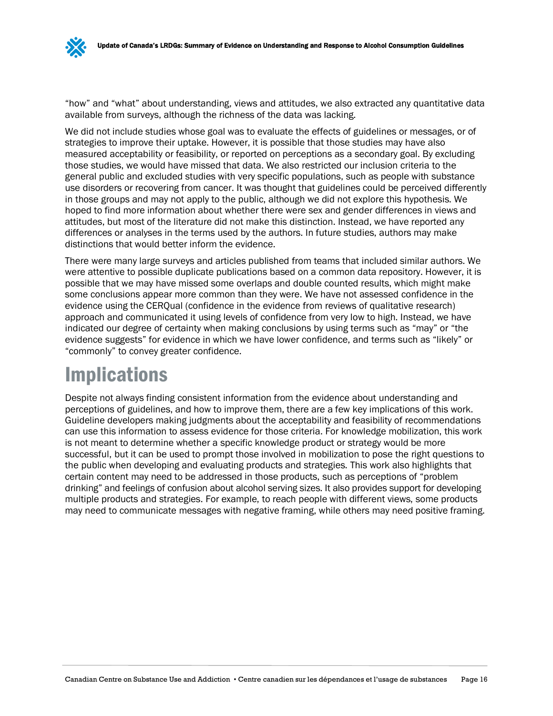"how" and "what" about understanding, views and attitudes, we also extracted any quantitative data available from surveys, although the richness of the data was lacking.

We did not include studies whose goal was to evaluate the effects of guidelines or messages, or of strategies to improve their uptake. However, it is possible that those studies may have also measured acceptability or feasibility, or reported on perceptions as a secondary goal. By excluding those studies, we would have missed that data. We also restricted our inclusion criteria to the general public and excluded studies with very specific populations, such as people with substance use disorders or recovering from cancer. It was thought that guidelines could be perceived differently in those groups and may not apply to the public, although we did not explore this hypothesis. We hoped to find more information about whether there were sex and gender differences in views and attitudes, but most of the literature did not make this distinction. Instead, we have reported any differences or analyses in the terms used by the authors. In future studies, authors may make distinctions that would better inform the evidence.

There were many large surveys and articles published from teams that included similar authors. We were attentive to possible duplicate publications based on a common data repository. However, it is possible that we may have missed some overlaps and double counted results, which might make some conclusions appear more common than they were. We have not assessed confidence in the evidence using the CERQual (confidence in the evidence from reviews of qualitative research) approach and communicated it using levels of confidence from very low to high. Instead, we have indicated our degree of certainty when making conclusions by using terms such as "may" or "the evidence suggests" for evidence in which we have lower confidence, and terms such as "likely" or "commonly" to convey greater confidence.

# <span id="page-18-0"></span>Implications

Despite not always finding consistent information from the evidence about understanding and perceptions of guidelines, and how to improve them, there are a few key implications of this work. Guideline developers making judgments about the acceptability and feasibility of recommendations can use this information to assess evidence for those criteria. For knowledge mobilization, this work is not meant to determine whether a specific knowledge product or strategy would be more successful, but it can be used to prompt those involved in mobilization to pose the right questions to the public when developing and evaluating products and strategies. This work also highlights that certain content may need to be addressed in those products, such as perceptions of "problem drinking" and feelings of confusion about alcohol serving sizes. It also provides support for developing multiple products and strategies. For example, to reach people with different views, some products may need to communicate messages with negative framing, while others may need positive framing.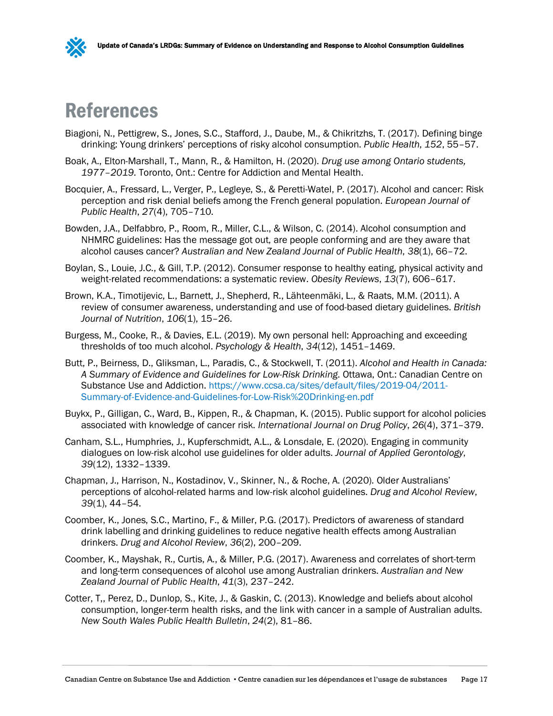

## <span id="page-19-0"></span>References

- Biagioni, N., Pettigrew, S., Jones, S.C., Stafford, J., Daube, M., & Chikritzhs, T. (2017). Defining binge drinking: Young drinkers' perceptions of risky alcohol consumption. *Public Health*, *152*, 55–57.
- Boak, A., Elton-Marshall, T., Mann, R., & Hamilton, H. (2020). *Drug use among Ontario students, 1977–2019*. Toronto, Ont.: Centre for Addiction and Mental Health.
- Bocquier, A., Fressard, L., Verger, P., Legleye, S., & Peretti-Watel, P. (2017). Alcohol and cancer: Risk perception and risk denial beliefs among the French general population. *European Journal of Public Health*, *27*(4), 705–710.
- Bowden, J.A., Delfabbro, P., Room, R., Miller, C.L., & Wilson, C. (2014). Alcohol consumption and NHMRC guidelines: Has the message got out, are people conforming and are they aware that alcohol causes cancer? *Australian and New Zealand Journal of Public Health*, *38*(1), 66–72.
- Boylan, S., Louie, J.C., & Gill, T.P. (2012). Consumer response to healthy eating, physical activity and weight-related recommendations: a systematic review. *Obesity Reviews*, *13*(7), 606–617.
- Brown, K.A., Timotijevic, L., Barnett, J., Shepherd, R., Lähteenmäki, L., & Raats, M.M. (2011). A review of consumer awareness, understanding and use of food-based dietary guidelines. *British Journal of Nutrition*, *106*(1), 15–26.
- Burgess, M., Cooke, R., & Davies, E.L. (2019). My own personal hell: Approaching and exceeding thresholds of too much alcohol. *Psychology & Health*, *34*(12), 1451–1469.
- Butt, P., Beirness, D., Gliksman, L., Paradis, C., & Stockwell, T. (2011). *Alcohol and Health in Canada: A Summary of Evidence and Guidelines for Low-Risk Drinking*. Ottawa, Ont.: Canadian Centre on Substance Use and Addiction. [https://www.ccsa.ca/sites/default/files/2019-04/2011-](https://www.ccsa.ca/sites/default/files/2019-04/2011-Summary-of-Evidence-and-Guidelines-for-Low-Risk%20Drinking-en.pdf) [Summary-of-Evidence-and-Guidelines-for-Low-Risk%20Drinking-en.pdf](https://www.ccsa.ca/sites/default/files/2019-04/2011-Summary-of-Evidence-and-Guidelines-for-Low-Risk%20Drinking-en.pdf)
- Buykx, P., Gilligan, C., Ward, B., Kippen, R., & Chapman, K. (2015). Public support for alcohol policies associated with knowledge of cancer risk. *International Journal on Drug Policy*, *26*(4), 371–379.
- Canham, S.L., Humphries, J., Kupferschmidt, A.L., & Lonsdale, E. (2020). Engaging in community dialogues on low-risk alcohol use guidelines for older adults. *Journal of Applied Gerontology*, *39*(12), 1332–1339.
- Chapman, J., Harrison, N., Kostadinov, V., Skinner, N., & Roche, A. (2020). Older Australians' perceptions of alcohol-related harms and low-risk alcohol guidelines. *Drug and Alcohol Review*, *39*(1), 44–54.
- Coomber, K., Jones, S.C., Martino, F., & Miller, P.G. (2017). Predictors of awareness of standard drink labelling and drinking guidelines to reduce negative health effects among Australian drinkers. *Drug and Alcohol Review*, *36*(2), 200–209.
- Coomber, K., Mayshak, R., Curtis, A., & Miller, P.G. (2017). Awareness and correlates of short-term and long-term consequences of alcohol use among Australian drinkers. *Australian and New Zealand Journal of Public Health*, *41*(3), 237–242.
- Cotter, T,, Perez, D., Dunlop, S., Kite, J., & Gaskin, C. (2013). Knowledge and beliefs about alcohol consumption, longer-term health risks, and the link with cancer in a sample of Australian adults. *New South Wales Public Health Bulletin*, *24*(2), 81–86.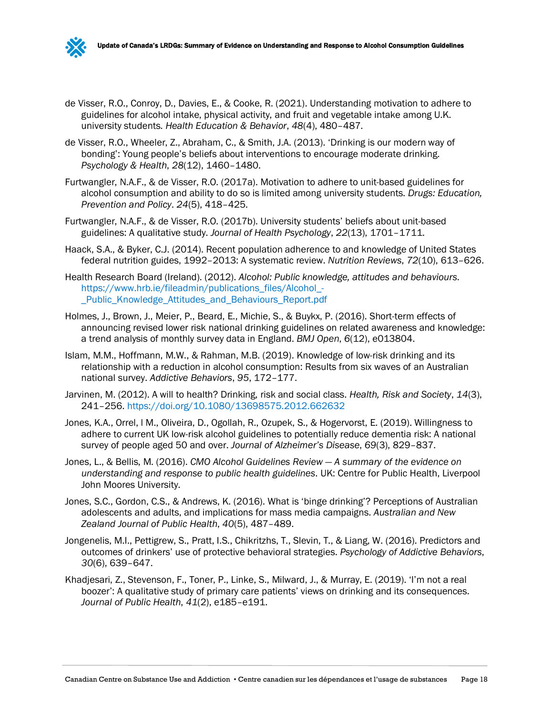- de Visser, R.O., Conroy, D., Davies, E., & Cooke, R. (2021). Understanding motivation to adhere to guidelines for alcohol intake, physical activity, and fruit and vegetable intake among U.K. university students. *Health Education & Behavior*, *48*(4), 480–487.
- de Visser, R.O., Wheeler, Z., Abraham, C., & Smith, J.A. (2013). 'Drinking is our modern way of bonding': Young people's beliefs about interventions to encourage moderate drinking. *Psychology & Health*, *28*(12), 1460–1480.
- Furtwangler, N.A.F., & de Visser, R.O. (2017a). Motivation to adhere to unit-based guidelines for alcohol consumption and ability to do so is limited among university students. *Drugs: Education, Prevention and Policy*. *24*(5), 418–425.
- Furtwangler, N.A.F., & de Visser, R.O. (2017b). University students' beliefs about unit-based guidelines: A qualitative study. *Journal of Health Psychology*, *22*(13), 1701–1711.
- Haack, S.A., & Byker, C.J. (2014). Recent population adherence to and knowledge of United States federal nutrition guides, 1992–2013: A systematic review. *Nutrition Reviews*, *72*(10), 613–626.
- Health Research Board (Ireland). (2012). *Alcohol: Public knowledge, attitudes and behaviours*. [https://www.hrb.ie/fileadmin/publications\\_files/Alcohol\\_-](https://www.hrb.ie/fileadmin/publications_files/Alcohol_-_Public_Knowledge_Attitudes_and_Behaviours_Report.pdf) [\\_Public\\_Knowledge\\_Attitudes\\_and\\_Behaviours\\_Report.pdf](https://www.hrb.ie/fileadmin/publications_files/Alcohol_-_Public_Knowledge_Attitudes_and_Behaviours_Report.pdf)
- Holmes, J., Brown, J., Meier, P., Beard, E., Michie, S., & Buykx, P. (2016). Short-term effects of announcing revised lower risk national drinking guidelines on related awareness and knowledge: a trend analysis of monthly survey data in England. *BMJ Open*, *6*(12), e013804.
- Islam, M.M., Hoffmann, M.W., & Rahman, M.B. (2019). Knowledge of low-risk drinking and its relationship with a reduction in alcohol consumption: Results from six waves of an Australian national survey. *Addictive Behaviors*, *95*, 172–177.
- Jarvinen, M. (2012). A will to health? Drinking, risk and social class. *Health, Risk and Society*, *14*(3), 241–256. <https://doi.org/10.1080/13698575.2012.662632>
- Jones, K.A., Orrel, l M., Oliveira, D., Ogollah, R., Ozupek, S., & Hogervorst, E. (2019). Willingness to adhere to current UK low-risk alcohol guidelines to potentially reduce dementia risk: A national survey of people aged 50 and over. *Journal of Alzheimer's Disease*, *69*(3), 829–837.
- Jones, L., & Bellis, M. (2016). *CMO Alcohol Guidelines Review — A summary of the evidence on understanding and response to public health guidelines*. UK: Centre for Public Health, Liverpool John Moores University.
- Jones, S.C., Gordon, C.S., & Andrews, K. (2016). What is 'binge drinking'? Perceptions of Australian adolescents and adults, and implications for mass media campaigns. *Australian and New Zealand Journal of Public Health*, *40*(5), 487–489.
- Jongenelis, M.I., Pettigrew, S., Pratt, I.S., Chikritzhs, T., Slevin, T., & Liang, W. (2016). Predictors and outcomes of drinkers' use of protective behavioral strategies. *Psychology of Addictive Behaviors*, *30*(6), 639–647.
- Khadjesari, Z., Stevenson, F., Toner, P., Linke, S., Milward, J., & Murray, E. (2019). 'I'm not a real boozer': A qualitative study of primary care patients' views on drinking and its consequences. *Journal of Public Health*, *41*(2), e185–e191.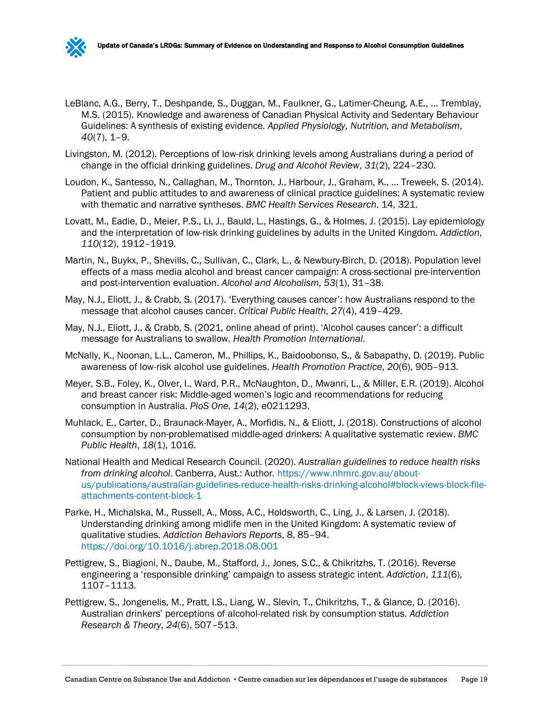

- LeBlanc, A.G., Berry, T., Deshpande, S., Duggan, M., Faulkner, G., Latimer-Cheung, A.E., … Tremblay, M.S. (2015). Knowledge and awareness of Canadian Physical Activity and Sedentary Behaviour Guidelines: A synthesis of existing evidence. *Applied Physiology, Nutrition, and Metabolism*, *40*(7), 1–9.
- Livingston, M. (2012). Perceptions of low-risk drinking levels among Australians during a period of change in the official drinking guidelines. *Drug and Alcohol Review*, *31*(2), 224–230.
- Loudon, K., Santesso, N., Callaghan, M., Thornton, J., Harbour, J., Graham, K., … Treweek, S. (2014). Patient and public attitudes to and awareness of clinical practice guidelines: A systematic review with thematic and narrative syntheses. *BMC Health Services Research*. 14, 321.
- Lovatt, M., Eadie, D., Meier, P.S., Li, J., Bauld, L., Hastings, G., & Holmes, J. (2015). Lay epidemiology and the interpretation of low-risk drinking guidelines by adults in the United Kingdom. *Addiction*, *110*(12), 1912–1919.
- Martin, N., Buykx, P., Shevills, C., Sullivan, C., Clark, L., & Newbury-Birch, D. (2018). Population level effects of a mass media alcohol and breast cancer campaign: A cross-sectional pre-intervention and post-intervention evaluation. *Alcohol and Alcoholism*, *53*(1), 31–38.
- May, N.J., Eliott, J., & Crabb, S. (2017). 'Everything causes cancer': how Australians respond to the message that alcohol causes cancer. *Critical Public Health*, *27*(4), 419–429.
- May, N.J., Eliott, J., & Crabb, S. (2021, online ahead of print). 'Alcohol causes cancer': a difficult message for Australians to swallow. *Health Promotion International*.
- McNally, K., Noonan, L.L., Cameron, M., Phillips, K., Baidoobonso, S., & Sabapathy, D. (2019). Public awareness of low-risk alcohol use guidelines. *Health Promotion Practice*, *20*(6), 905–913.
- Meyer, S.B., Foley, K., Olver, I., Ward, P.R., McNaughton, D., Mwanri, L., & Miller, E.R. (2019). Alcohol and breast cancer risk: Middle-aged women's logic and recommendations for reducing consumption in Australia. *PloS One*, *14*(2), e0211293.
- Muhlack, E., Carter, D., Braunack-Mayer, A., Morfidis, N., & Eliott, J. (2018). Constructions of alcohol consumption by non-problematised middle-aged drinkers: A qualitative systematic review. *BMC Public Health*, *18*(1), 1016.
- National Health and Medical Research Council. (2020). *Australian guidelines to reduce health risks from drinking alcohol*. Canberra, Aust.: Author. [https://www.nhmrc.gov.au/about](https://www.nhmrc.gov.au/about-us/publications/australian-guidelines-reduce-health-risks-drinking-alcohol#block-views-block-file-attachments-content-block-1)[us/publications/australian-guidelines-reduce-health-risks-drinking-alcohol#block-views-block-file](https://www.nhmrc.gov.au/about-us/publications/australian-guidelines-reduce-health-risks-drinking-alcohol#block-views-block-file-attachments-content-block-1)[attachments-content-block-1](https://www.nhmrc.gov.au/about-us/publications/australian-guidelines-reduce-health-risks-drinking-alcohol#block-views-block-file-attachments-content-block-1)
- Parke, H., Michalska, M., Russell, A., Moss, A.C., Holdsworth, C., Ling, J., & Larsen, J. (2018). Understanding drinking among midlife men in the United Kingdom: A systematic review of qualitative studies. *Addiction Behaviors Reports*, 8, 85–94. <https://doi.org/10.1016/j.abrep.2018.08.001>
- Pettigrew, S., Biagioni, N., Daube, M., Stafford, J., Jones, S.C., & Chikritzhs, T. (2016). Reverse engineering a 'responsible drinking' campaign to assess strategic intent. *Addiction*, *111*(6), 1107–1113.
- Pettigrew, S., Jongenelis, M., Pratt, I.S., Liang, W., Slevin, T., Chikritzhs, T., & Glance, D. (2016). Australian drinkers' perceptions of alcohol-related risk by consumption status. *Addiction Research & Theory*, *24*(6), 507–513.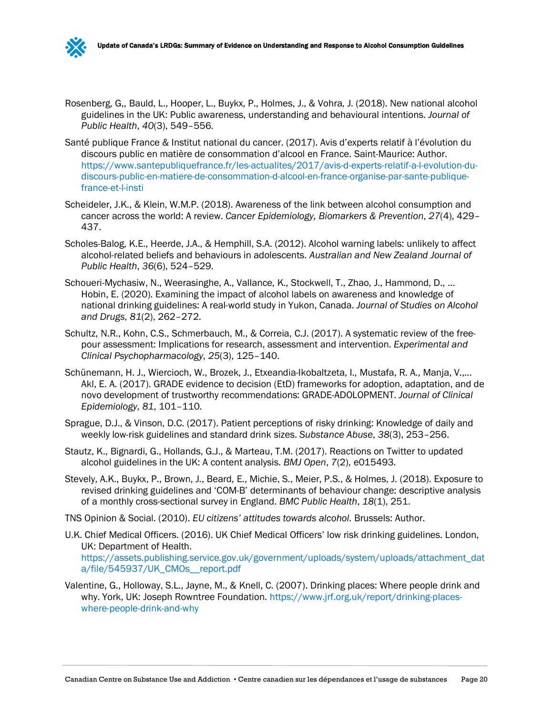

- Santé publique France & Institut national du cancer. (2017). Avis d'experts relatif à l'évolution du discours public en matière de consommation d'alcool en France. Saint-Maurice: Author. [https://www.santepubliquefrance.fr/les-actualites/2017/avis-d-experts-relatif-a-l-evolution-du](https://www.santepubliquefrance.fr/les-actualites/2017/avis-d-experts-relatif-a-l-evolution-du-discours-public-en-matiere-de-consommation-d-alcool-en-france-organise-par-sante-publique-france-et-l-insti)[discours-public-en-matiere-de-consommation-d-alcool-en-france-organise-par-sante-publique](https://www.santepubliquefrance.fr/les-actualites/2017/avis-d-experts-relatif-a-l-evolution-du-discours-public-en-matiere-de-consommation-d-alcool-en-france-organise-par-sante-publique-france-et-l-insti)[france-et-l-insti](https://www.santepubliquefrance.fr/les-actualites/2017/avis-d-experts-relatif-a-l-evolution-du-discours-public-en-matiere-de-consommation-d-alcool-en-france-organise-par-sante-publique-france-et-l-insti)
- Scheideler, J.K., & Klein, W.M.P. (2018). Awareness of the link between alcohol consumption and cancer across the world: A review. *Cancer Epidemiology, Biomarkers & Prevention*, *27*(4), 429– 437.
- Scholes-Balog, K.E., Heerde, J.A., & Hemphill, S.A. (2012). Alcohol warning labels: unlikely to affect alcohol-related beliefs and behaviours in adolescents. *Australian and New Zealand Journal of Public Health*, *36*(6), 524–529.
- Schoueri-Mychasiw, N., Weerasinghe, A., Vallance, K., Stockwell, T., Zhao, J., Hammond, D., … Hobin, E. (2020). Examining the impact of alcohol labels on awareness and knowledge of national drinking guidelines: A real-world study in Yukon, Canada. *Journal of Studies on Alcohol and Drugs*, *81*(2), 262–272.
- Schultz, N.R., Kohn, C.S., Schmerbauch, M., & Correia, C.J. (2017). A systematic review of the freepour assessment: Implications for research, assessment and intervention. *Experimental and Clinical Psychopharmacology*, *25*(3), 125–140.
- Schünemann, H. J., Wiercioch, W., Brozek, J., Etxeandia-Ikobaltzeta, I., Mustafa, R. A., Manja, V.,... Akl, E. A. (2017). GRADE evidence to decision (EtD) frameworks for adoption, adaptation, and de novo development of trustworthy recommendations: GRADE-ADOLOPMENT. *Journal of Clinical Epidemiology*, *81*, 101–110.
- Sprague, D.J., & Vinson, D.C. (2017). Patient perceptions of risky drinking: Knowledge of daily and weekly low-risk guidelines and standard drink sizes. *Substance Abuse*, *38*(3), 253–256.
- Stautz, K., Bignardi, G., Hollands, G.J., & Marteau, T.M. (2017). Reactions on Twitter to updated alcohol guidelines in the UK: A content analysis. *BMJ Open*, *7*(2), e015493.
- Stevely, A.K., Buykx, P., Brown, J., Beard, E., Michie, S., Meier, P.S., & Holmes, J. (2018). Exposure to revised drinking guidelines and 'COM-B' determinants of behaviour change: descriptive analysis of a monthly cross-sectional survey in England. *BMC Public Health*, *18*(1), 251.
- TNS Opinion & Social. (2010). *EU citizens' attitudes towards alcohol*. Brussels: Author.
- U.K. Chief Medical Officers. (2016). UK Chief Medical Officers' low risk drinking guidelines. London, UK: Department of Health. [https://assets.publishing.service.gov.uk/government/uploads/system/uploads/attachment\\_dat](https://assets.publishing.service.gov.uk/government/uploads/system/uploads/attachment_data/file/545937/UK_CMOs__report.pdf) [a/file/545937/UK\\_CMOs\\_\\_report.pdf](https://assets.publishing.service.gov.uk/government/uploads/system/uploads/attachment_data/file/545937/UK_CMOs__report.pdf)
- Valentine, G., Holloway, S.L., Jayne, M., & Knell, C. (2007). Drinking places: Where people drink and why. York, UK: Joseph Rowntree Foundation. [https://www.jrf.org.uk/report/drinking-places](https://www.jrf.org.uk/report/drinking-places-where-people-drink-and-why)[where-people-drink-and-why](https://www.jrf.org.uk/report/drinking-places-where-people-drink-and-why)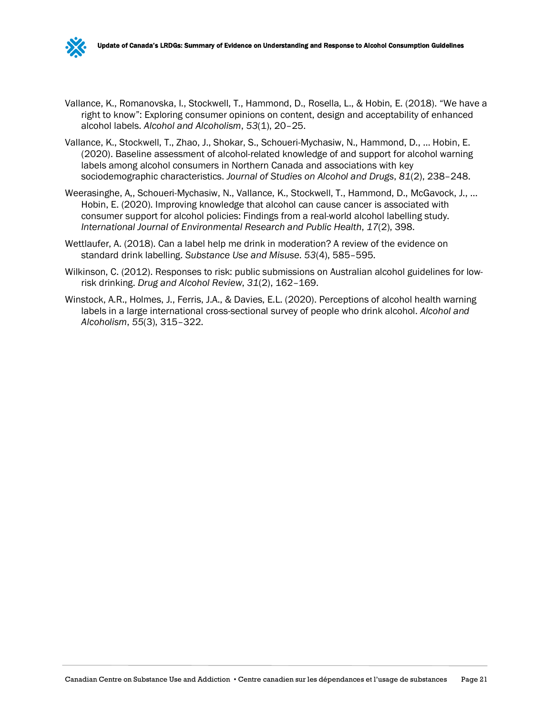

- Vallance, K., Romanovska, I., Stockwell, T., Hammond, D., Rosella, L., & Hobin, E. (2018). "We have a right to know": Exploring consumer opinions on content, design and acceptability of enhanced alcohol labels. *Alcohol and Alcoholism*, *53*(1), 20–25.
- Vallance, K., Stockwell, T., Zhao, J., Shokar, S., Schoueri-Mychasiw, N., Hammond, D., … Hobin, E. (2020). Baseline assessment of alcohol-related knowledge of and support for alcohol warning labels among alcohol consumers in Northern Canada and associations with key sociodemographic characteristics. *Journal of Studies on Alcohol and Drugs*, *81*(2), 238–248.
- Weerasinghe, A,, Schoueri-Mychasiw, N., Vallance, K., Stockwell, T., Hammond, D., McGavock, J., … Hobin, E. (2020). Improving knowledge that alcohol can cause cancer is associated with consumer support for alcohol policies: Findings from a real-world alcohol labelling study. *International Journal of Environmental Research and Public Health*, *17*(2), 398.
- Wettlaufer, A. (2018). Can a label help me drink in moderation? A review of the evidence on standard drink labelling. *Substance Use and Misuse*. *53*(4), 585–595.
- Wilkinson, C. (2012). Responses to risk: public submissions on Australian alcohol guidelines for lowrisk drinking. *Drug and Alcohol Review*, *31*(2), 162–169.
- Winstock, A.R., Holmes, J., Ferris, J.A., & Davies, E.L. (2020). Perceptions of alcohol health warning labels in a large international cross-sectional survey of people who drink alcohol. *Alcohol and Alcoholism*, *55*(3), 315–322.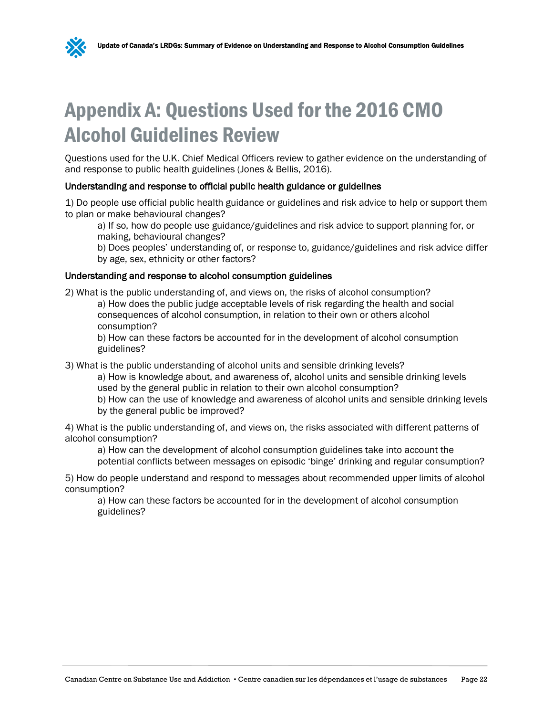<span id="page-24-0"></span>

Questions used for the U.K. Chief Medical Officers review to gather evidence on the understanding of and response to public health guidelines (Jones & Bellis, 2016).

#### Understanding and response to official public health guidance or guidelines

1) Do people use official public health guidance or guidelines and risk advice to help or support them to plan or make behavioural changes?

a) If so, how do people use guidance/guidelines and risk advice to support planning for, or making, behavioural changes?

b) Does peoples' understanding of, or response to, guidance/guidelines and risk advice differ by age, sex, ethnicity or other factors?

#### Understanding and response to alcohol consumption guidelines

2) What is the public understanding of, and views on, the risks of alcohol consumption?

a) How does the public judge acceptable levels of risk regarding the health and social consequences of alcohol consumption, in relation to their own or others alcohol consumption?

b) How can these factors be accounted for in the development of alcohol consumption guidelines?

3) What is the public understanding of alcohol units and sensible drinking levels?

a) How is knowledge about, and awareness of, alcohol units and sensible drinking levels used by the general public in relation to their own alcohol consumption?

b) How can the use of knowledge and awareness of alcohol units and sensible drinking levels by the general public be improved?

4) What is the public understanding of, and views on, the risks associated with different patterns of alcohol consumption?

a) How can the development of alcohol consumption guidelines take into account the potential conflicts between messages on episodic 'binge' drinking and regular consumption?

5) How do people understand and respond to messages about recommended upper limits of alcohol consumption?

a) How can these factors be accounted for in the development of alcohol consumption guidelines?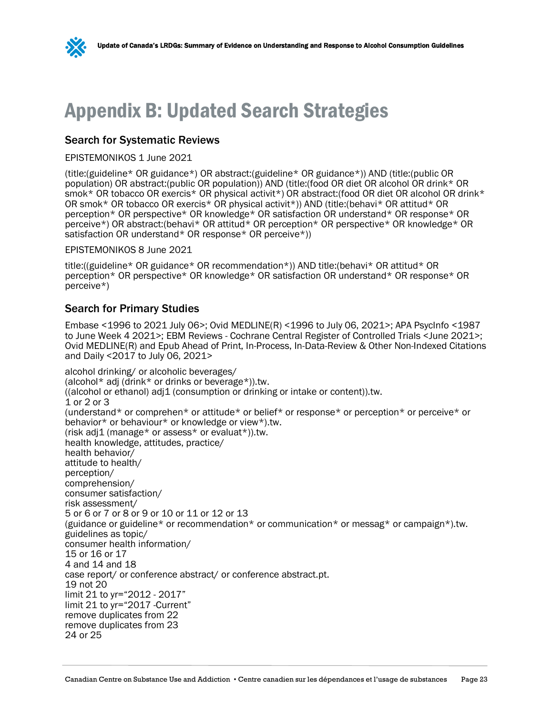# <span id="page-25-0"></span>Appendix B: Updated Search Strategies

#### Search for Systematic Reviews

#### EPISTEMONIKOS 1 June 2021

(title:(guideline\* OR guidance\*) OR abstract:(guideline\* OR guidance\*)) AND (title:(public OR population) OR abstract:(public OR population)) AND (title:(food OR diet OR alcohol OR drink\* OR smok\* OR tobacco OR exercis\* OR physical activit\*) OR abstract:(food OR diet OR alcohol OR drink\* OR smok\* OR tobacco OR exercis\* OR physical activit\*)) AND (title:(behavi\* OR attitud\* OR perception\* OR perspective\* OR knowledge\* OR satisfaction OR understand\* OR response\* OR perceive\*) OR abstract:(behavi\* OR attitud\* OR perception\* OR perspective\* OR knowledge\* OR satisfaction OR understand\* OR response\* OR perceive\*))

#### EPISTEMONIKOS 8 June 2021

title:((guideline\* OR guidance\* OR recommendation\*)) AND title:(behavi\* OR attitud\* OR perception\* OR perspective\* OR knowledge\* OR satisfaction OR understand\* OR response\* OR perceive\*)

#### Search for Primary Studies

Embase <1996 to 2021 July 06>; Ovid MEDLINE(R) <1996 to July 06, 2021>; APA PsycInfo <1987 to June Week 4 2021>; EBM Reviews - Cochrane Central Register of Controlled Trials <June 2021>; Ovid MEDLINE(R) and Epub Ahead of Print, In-Process, In-Data-Review & Other Non-Indexed Citations and Daily <2017 to July 06, 2021>

alcohol drinking/ or alcoholic beverages/ (alcohol\* adj (drink\* or drinks or beverage\*)).tw. ((alcohol or ethanol) adj1 (consumption or drinking or intake or content)).tw. 1 or 2 or 3 (understand\* or comprehen\* or attitude\* or belief\* or response\* or perception\* or perceive\* or behavior\* or behaviour\* or knowledge or view\*).tw. (risk adj1 (manage\* or assess\* or evaluat\*)).tw. health knowledge, attitudes, practice/ health behavior/ attitude to health/ perception/ comprehension/ consumer satisfaction/ risk assessment/ 5 or 6 or 7 or 8 or 9 or 10 or 11 or 12 or 13 (guidance or guideline\* or recommendation\* or communication\* or messag\* or campaign\*).tw. guidelines as topic/ consumer health information/ 15 or 16 or 17 4 and 14 and 18 case report/ or conference abstract/ or conference abstract.pt. 19 not 20 limit 21 to yr="2012 - 2017" limit 21 to yr="2017 -Current" remove duplicates from 22 remove duplicates from 23 24 or 25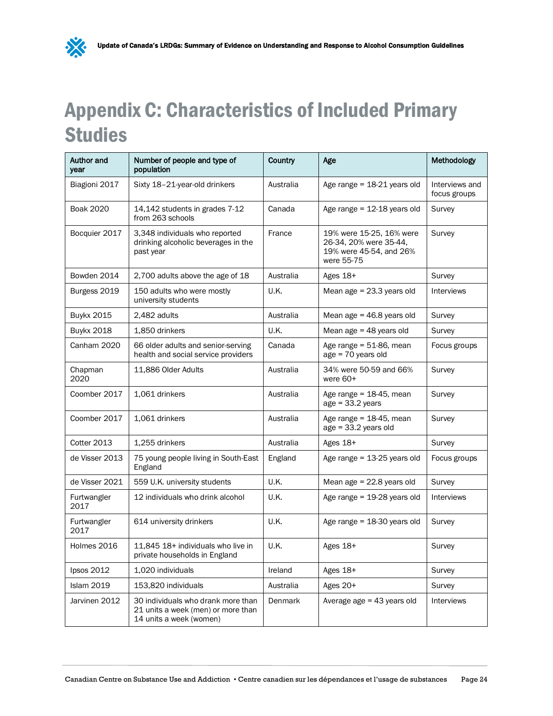# <span id="page-26-0"></span>Appendix C: Characteristics of Included Primary Studies

X

| <b>Author and</b><br>year | Number of people and type of<br>population                                                          | Country        | Age                                                                                         | Methodology                    |
|---------------------------|-----------------------------------------------------------------------------------------------------|----------------|---------------------------------------------------------------------------------------------|--------------------------------|
| Biagioni 2017             | Sixty 18-21-year-old drinkers                                                                       | Australia      | Age range $= 18-21$ years old                                                               | Interviews and<br>focus groups |
| <b>Boak 2020</b>          | 14,142 students in grades 7-12<br>from 263 schools                                                  | Canada         | Age range = 12-18 years old                                                                 | Survey                         |
| Bocquier 2017             | 3,348 individuals who reported<br>drinking alcoholic beverages in the<br>past year                  | France         | 19% were 15-25, 16% were<br>26-34, 20% were 35-44,<br>19% were 45-54, and 26%<br>were 55-75 | Survey                         |
| Bowden 2014               | 2,700 adults above the age of 18                                                                    | Australia      | Ages 18+                                                                                    | Survey                         |
| Burgess 2019              | 150 adults who were mostly<br>university students                                                   | <b>U.K.</b>    | Mean age $= 23.3$ years old                                                                 | <b>Interviews</b>              |
| <b>Buykx 2015</b>         | 2,482 adults                                                                                        | Australia      | Mean age $= 46.8$ years old                                                                 | Survey                         |
| <b>Buykx 2018</b>         | 1,850 drinkers                                                                                      | U.K.           | Mean age $=$ 48 years old                                                                   | Survey                         |
| Canham 2020               | 66 older adults and senior-serving<br>health and social service providers                           | Canada         | Age range = $51-86$ , mean<br>age = 70 years old                                            | Focus groups                   |
| Chapman<br>2020           | 11,886 Older Adults                                                                                 | Australia      | 34% were 50-59 and 66%<br>were 60+                                                          | Survey                         |
| Coomber 2017              | 1,061 drinkers                                                                                      | Australia      | Age range = $18-45$ , mean<br>$age = 33.2 years$                                            | Survey                         |
| Coomber 2017              | 1,061 drinkers                                                                                      | Australia      | Age range = $18-45$ , mean<br>age = 33.2 years old                                          | Survey                         |
| Cotter 2013               | 1,255 drinkers                                                                                      | Australia      | Ages 18+                                                                                    | Survey                         |
| de Visser 2013            | 75 young people living in South-East<br>England                                                     | England        | Age range = $13-25$ years old                                                               | Focus groups                   |
| de Visser 2021            | 559 U.K. university students                                                                        | U.K.           | Mean age $= 22.8$ years old                                                                 | Survey                         |
| Furtwangler<br>2017       | 12 individuals who drink alcohol                                                                    | U.K.           | Age range = 19-28 years old                                                                 | <b>Interviews</b>              |
| Furtwangler<br>2017       | 614 university drinkers                                                                             | U.K.           | Age range = 18-30 years old                                                                 | Survey                         |
| Holmes 2016               | 11,845 18+ individuals who live in<br>private households in England                                 | U.K.           | Ages 18+                                                                                    | Survey                         |
| lpsos 2012                | 1,020 individuals                                                                                   | Ireland        | Ages 18+                                                                                    | Survey                         |
| <b>Islam 2019</b>         | 153,820 individuals                                                                                 | Australia      | Ages 20+                                                                                    | Survey                         |
| Jarvinen 2012             | 30 individuals who drank more than<br>21 units a week (men) or more than<br>14 units a week (women) | <b>Denmark</b> | Average $age = 43$ years old                                                                | Interviews                     |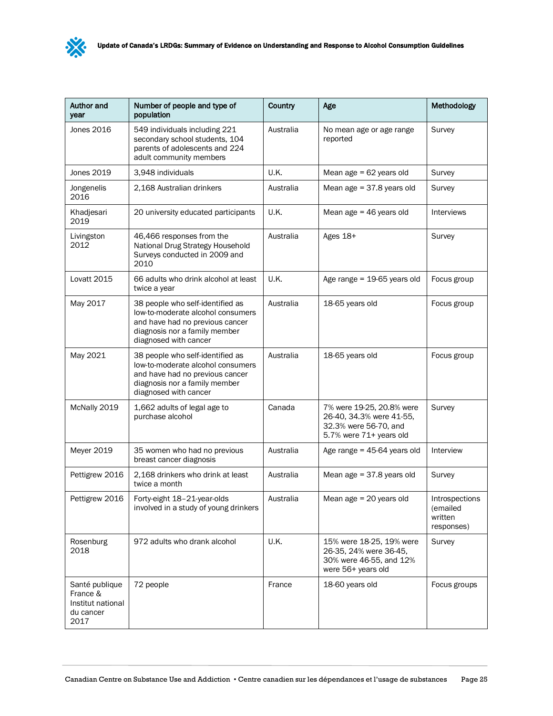

| <b>Author and</b><br>year                                            | Number of people and type of<br>population                                                                                                                         | Country   | Age                                                                                                       | Methodology                                         |
|----------------------------------------------------------------------|--------------------------------------------------------------------------------------------------------------------------------------------------------------------|-----------|-----------------------------------------------------------------------------------------------------------|-----------------------------------------------------|
| Jones 2016                                                           | 549 individuals including 221<br>secondary school students, 104<br>parents of adolescents and 224<br>adult community members                                       | Australia | No mean age or age range<br>reported                                                                      | Survey                                              |
| Jones 2019                                                           | 3,948 individuals                                                                                                                                                  | U.K.      | Mean age $= 62$ years old                                                                                 | Survey                                              |
| Jongenelis<br>2016                                                   | 2,168 Australian drinkers                                                                                                                                          | Australia | Mean age $= 37.8$ years old                                                                               | Survey                                              |
| Khadjesari<br>2019                                                   | 20 university educated participants                                                                                                                                | U.K.      | Mean age $=$ 46 years old                                                                                 | <b>Interviews</b>                                   |
| Livingston<br>2012                                                   | 46,466 responses from the<br>National Drug Strategy Household<br>Surveys conducted in 2009 and<br>2010                                                             | Australia | Ages 18+                                                                                                  | Survey                                              |
| Lovatt 2015                                                          | 66 adults who drink alcohol at least<br>twice a year                                                                                                               | U.K.      | Age range = 19-65 years old                                                                               | Focus group                                         |
| May 2017                                                             | 38 people who self-identified as<br>low-to-moderate alcohol consumers<br>and have had no previous cancer<br>diagnosis nor a family member<br>diagnosed with cancer | Australia | 18-65 years old                                                                                           | Focus group                                         |
| May 2021                                                             | 38 people who self-identified as<br>low-to-moderate alcohol consumers<br>and have had no previous cancer<br>diagnosis nor a family member<br>diagnosed with cancer | Australia | 18-65 years old                                                                                           | Focus group                                         |
| McNally 2019                                                         | 1,662 adults of legal age to<br>purchase alcohol                                                                                                                   | Canada    | 7% were 19-25, 20.8% were<br>26-40, 34.3% were 41-55,<br>32.3% were 56-70, and<br>5.7% were 71+ years old | Survey                                              |
| Meyer 2019                                                           | 35 women who had no previous<br>breast cancer diagnosis                                                                                                            | Australia | Age range = $45-64$ years old                                                                             | Interview                                           |
| Pettigrew 2016                                                       | 2,168 drinkers who drink at least<br>twice a month                                                                                                                 | Australia | Mean age $= 37.8$ years old                                                                               | Survey                                              |
| Pettigrew 2016                                                       | Forty-eight 18-21-year-olds<br>involved in a study of young drinkers                                                                                               | Australia | Mean age $= 20$ years old                                                                                 | Introspections<br>(emailed<br>written<br>responses) |
| Rosenburg<br>2018                                                    | 972 adults who drank alcohol                                                                                                                                       | U.K.      | 15% were 18-25, 19% were<br>26-35, 24% were 36-45,<br>30% were 46-55, and 12%<br>were 56+ years old       | Survey                                              |
| Santé publique<br>France &<br>Institut national<br>du cancer<br>2017 | 72 people                                                                                                                                                          | France    | 18-60 years old                                                                                           | Focus groups                                        |